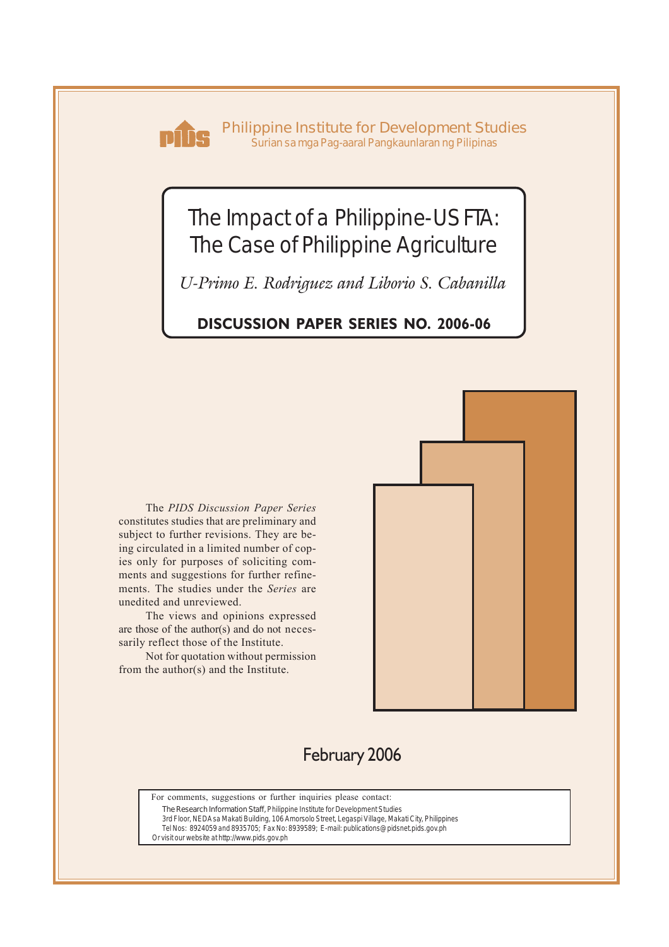

**Philippine Institute for Development Studies** *Surian sa mga Pag-aaral Pangkaunlaran ng Pilipinas*

# The Impact of a Philippine-US FTA: The Case of Philippine Agriculture

*U-Primo E. Rodriguez and Liborio S. Cabanilla*

### **DISCUSSION PAPER SERIES NO. 2006-06**

The *PIDS Discussion Paper Series* constitutes studies that are preliminary and subject to further revisions. They are being circulated in a limited number of copies only for purposes of soliciting comments and suggestions for further refinements. The studies under the *Series* are unedited and unreviewed.

The views and opinions expressed are those of the author(s) and do not necessarily reflect those of the Institute.

Not for quotation without permission from the author(s) and the Institute.



### February 2006

For comments, suggestions or further inquiries please contact:

**The Research Information Staff,** Philippine Institute for Development Studies

3rd Floor, NEDA sa Makati Building, 106 Amorsolo Street, Legaspi Village, Makati City, Philippines Tel Nos: 8924059 and 8935705; Fax No: 8939589; E-mail: publications@pidsnet.pids.gov.ph

Or visit our website at http://www.pids.gov.ph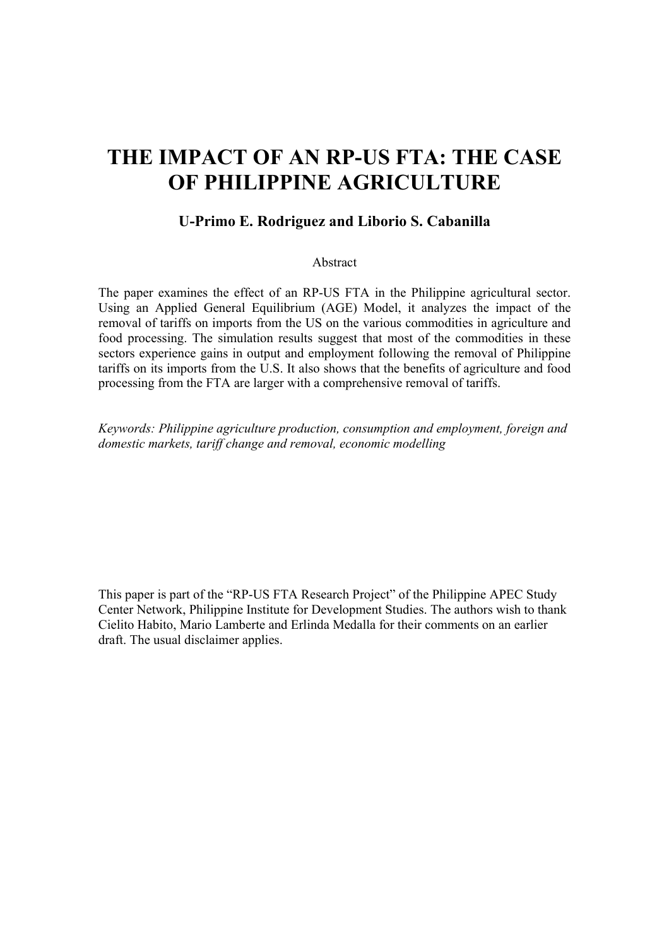# **THE IMPACT OF AN RP-US FTA: THE CASE OF PHILIPPINE AGRICULTURE**

#### **U-Primo E. Rodriguez and Liborio S. Cabanilla**

#### Abstract

The paper examines the effect of an RP-US FTA in the Philippine agricultural sector. Using an Applied General Equilibrium (AGE) Model, it analyzes the impact of the removal of tariffs on imports from the US on the various commodities in agriculture and food processing. The simulation results suggest that most of the commodities in these sectors experience gains in output and employment following the removal of Philippine tariffs on its imports from the U.S. It also shows that the benefits of agriculture and food processing from the FTA are larger with a comprehensive removal of tariffs.

*Keywords: Philippine agriculture production, consumption and employment, foreign and domestic markets, tariff change and removal, economic modelling* 

This paper is part of the "RP-US FTA Research Project" of the Philippine APEC Study Center Network, Philippine Institute for Development Studies. The authors wish to thank Cielito Habito, Mario Lamberte and Erlinda Medalla for their comments on an earlier draft. The usual disclaimer applies.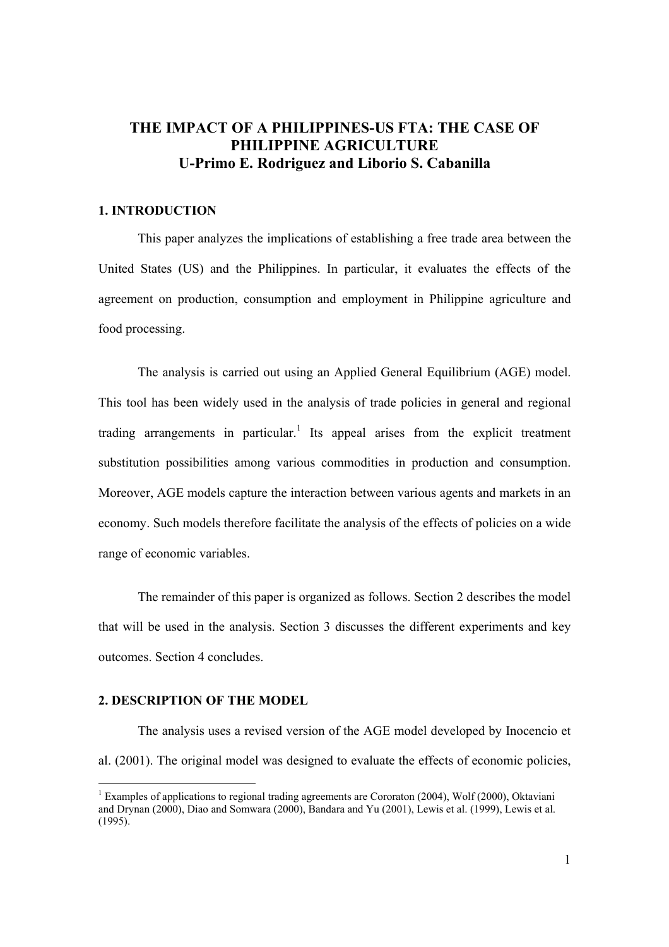### **THE IMPACT OF A PHILIPPINES-US FTA: THE CASE OF PHILIPPINE AGRICULTURE U-Primo E. Rodriguez and Liborio S. Cabanilla**

#### **1. INTRODUCTION**

 This paper analyzes the implications of establishing a free trade area between the United States (US) and the Philippines. In particular, it evaluates the effects of the agreement on production, consumption and employment in Philippine agriculture and food processing.

 The analysis is carried out using an Applied General Equilibrium (AGE) model. This tool has been widely used in the analysis of trade policies in general and regional trading arrangements in particular.<sup>1</sup> Its appeal arises from the explicit treatment substitution possibilities among various commodities in production and consumption. Moreover, AGE models capture the interaction between various agents and markets in an economy. Such models therefore facilitate the analysis of the effects of policies on a wide range of economic variables.

 The remainder of this paper is organized as follows. Section 2 describes the model that will be used in the analysis. Section 3 discusses the different experiments and key outcomes. Section 4 concludes.

#### **2. DESCRIPTION OF THE MODEL**

 The analysis uses a revised version of the AGE model developed by Inocencio et al. (2001). The original model was designed to evaluate the effects of economic policies,

<sup>&</sup>lt;sup>1</sup> Examples of applications to regional trading agreements are Cororaton (2004), Wolf (2000), Oktaviani and Drynan (2000), Diao and Somwara (2000), Bandara and Yu (2001), Lewis et al. (1999), Lewis et al. (1995).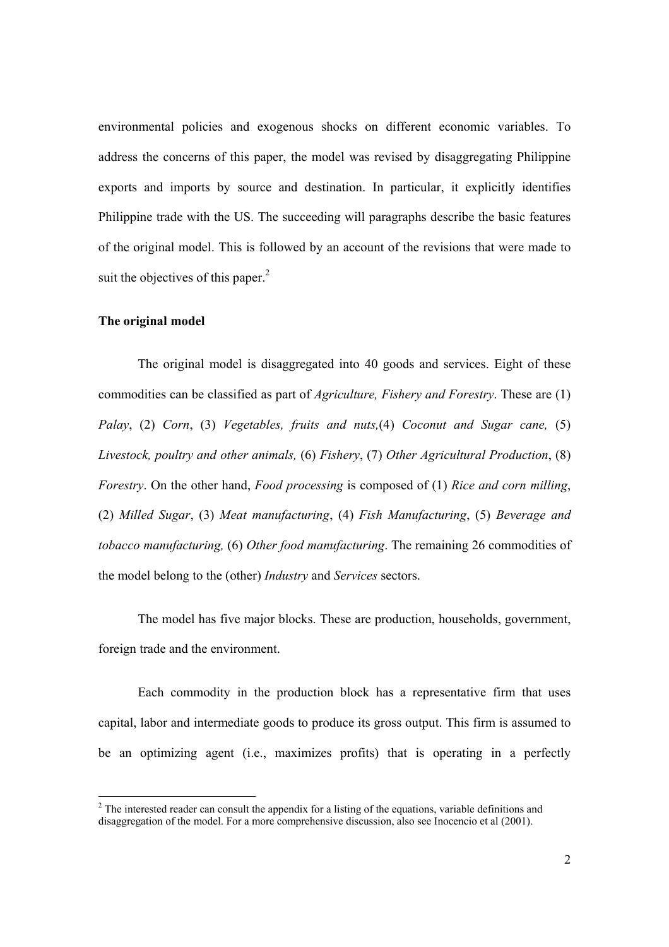environmental policies and exogenous shocks on different economic variables. To address the concerns of this paper, the model was revised by disaggregating Philippine exports and imports by source and destination. In particular, it explicitly identifies Philippine trade with the US. The succeeding will paragraphs describe the basic features of the original model. This is followed by an account of the revisions that were made to suit the objectives of this paper. $<sup>2</sup>$ </sup>

#### **The original model**

 The original model is disaggregated into 40 goods and services. Eight of these commodities can be classified as part of *Agriculture, Fishery and Forestry*. These are (1) *Palay*, (2) *Corn*, (3) *Vegetables, fruits and nuts,*(4) *Coconut and Sugar cane,* (5) *Livestock, poultry and other animals,* (6) *Fishery*, (7) *Other Agricultural Production*, (8) *Forestry*. On the other hand, *Food processing* is composed of (1) *Rice and corn milling*, (2) *Milled Sugar*, (3) *Meat manufacturing*, (4) *Fish Manufacturing*, (5) *Beverage and tobacco manufacturing,* (6) *Other food manufacturing*. The remaining 26 commodities of the model belong to the (other) *Industry* and *Services* sectors.

 The model has five major blocks. These are production, households, government, foreign trade and the environment.

 Each commodity in the production block has a representative firm that uses capital, labor and intermediate goods to produce its gross output. This firm is assumed to be an optimizing agent (i.e., maximizes profits) that is operating in a perfectly

 $2^2$  The interested reader can consult the appendix for a listing of the equations, variable definitions and disaggregation of the model. For a more comprehensive discussion, also see Inocencio et al (2001).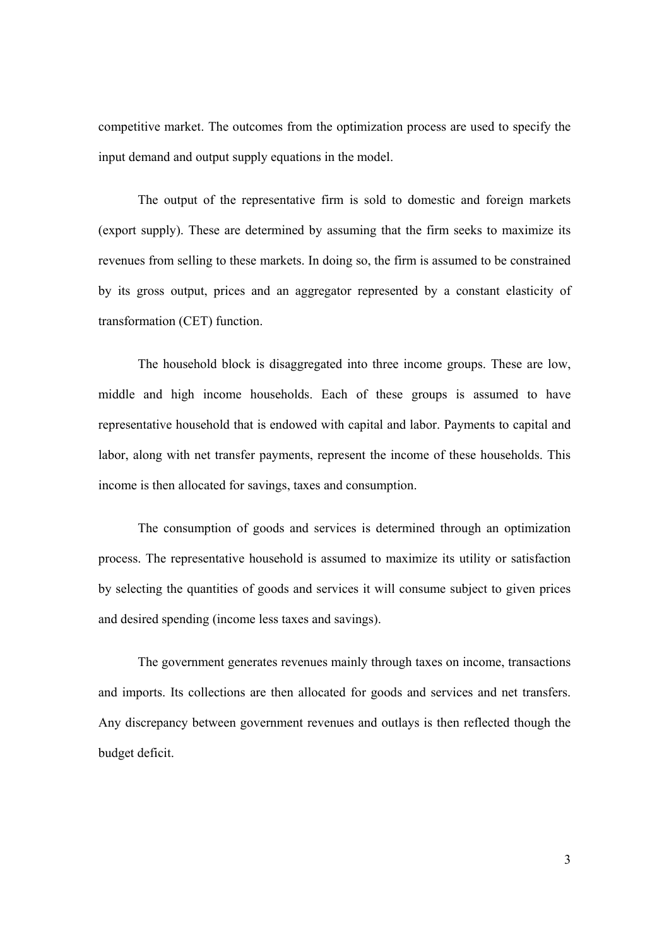competitive market. The outcomes from the optimization process are used to specify the input demand and output supply equations in the model.

The output of the representative firm is sold to domestic and foreign markets (export supply). These are determined by assuming that the firm seeks to maximize its revenues from selling to these markets. In doing so, the firm is assumed to be constrained by its gross output, prices and an aggregator represented by a constant elasticity of transformation (CET) function.

 The household block is disaggregated into three income groups. These are low, middle and high income households. Each of these groups is assumed to have representative household that is endowed with capital and labor. Payments to capital and labor, along with net transfer payments, represent the income of these households. This income is then allocated for savings, taxes and consumption.

The consumption of goods and services is determined through an optimization process. The representative household is assumed to maximize its utility or satisfaction by selecting the quantities of goods and services it will consume subject to given prices and desired spending (income less taxes and savings).

 The government generates revenues mainly through taxes on income, transactions and imports. Its collections are then allocated for goods and services and net transfers. Any discrepancy between government revenues and outlays is then reflected though the budget deficit.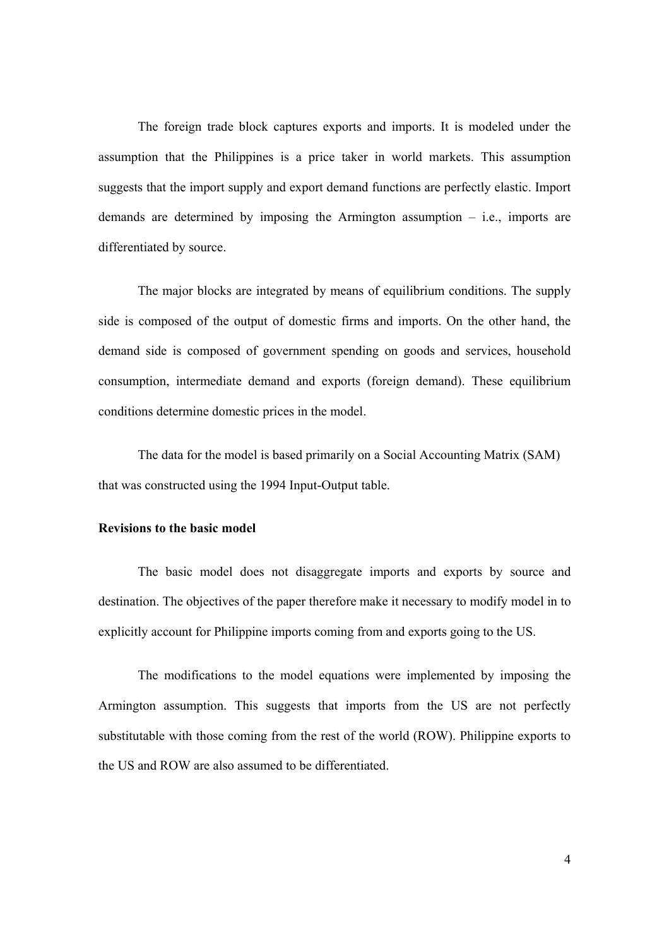The foreign trade block captures exports and imports. It is modeled under the assumption that the Philippines is a price taker in world markets. This assumption suggests that the import supply and export demand functions are perfectly elastic. Import demands are determined by imposing the Armington assumption – i.e., imports are differentiated by source.

The major blocks are integrated by means of equilibrium conditions. The supply side is composed of the output of domestic firms and imports. On the other hand, the demand side is composed of government spending on goods and services, household consumption, intermediate demand and exports (foreign demand). These equilibrium conditions determine domestic prices in the model.

 The data for the model is based primarily on a Social Accounting Matrix (SAM) that was constructed using the 1994 Input-Output table.

#### **Revisions to the basic model**

 The basic model does not disaggregate imports and exports by source and destination. The objectives of the paper therefore make it necessary to modify model in to explicitly account for Philippine imports coming from and exports going to the US.

The modifications to the model equations were implemented by imposing the Armington assumption. This suggests that imports from the US are not perfectly substitutable with those coming from the rest of the world (ROW). Philippine exports to the US and ROW are also assumed to be differentiated.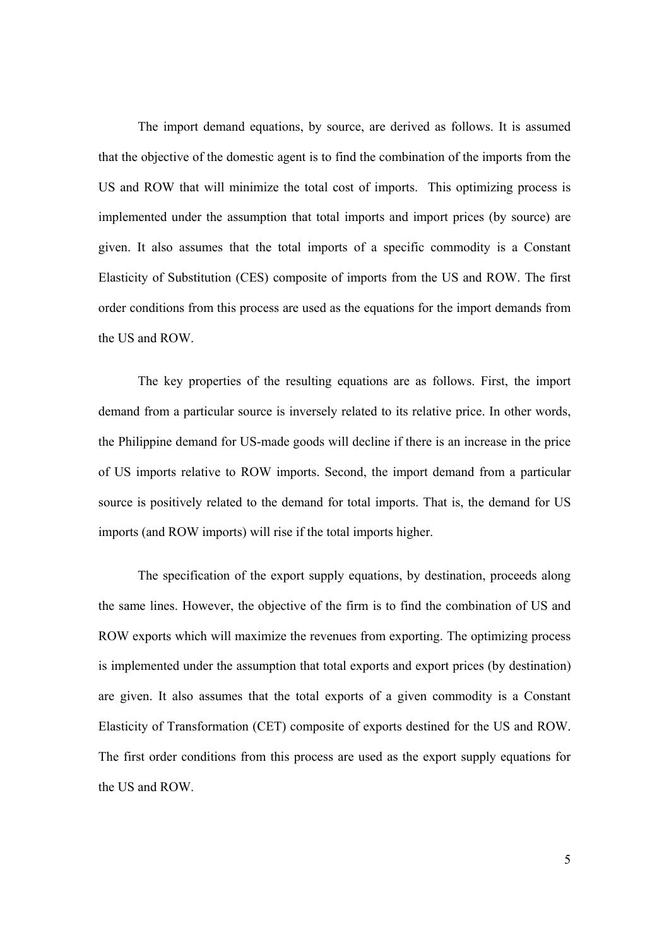The import demand equations, by source, are derived as follows. It is assumed that the objective of the domestic agent is to find the combination of the imports from the US and ROW that will minimize the total cost of imports. This optimizing process is implemented under the assumption that total imports and import prices (by source) are given. It also assumes that the total imports of a specific commodity is a Constant Elasticity of Substitution (CES) composite of imports from the US and ROW. The first order conditions from this process are used as the equations for the import demands from the US and ROW.

The key properties of the resulting equations are as follows. First, the import demand from a particular source is inversely related to its relative price. In other words, the Philippine demand for US-made goods will decline if there is an increase in the price of US imports relative to ROW imports. Second, the import demand from a particular source is positively related to the demand for total imports. That is, the demand for US imports (and ROW imports) will rise if the total imports higher.

 The specification of the export supply equations, by destination, proceeds along the same lines. However, the objective of the firm is to find the combination of US and ROW exports which will maximize the revenues from exporting. The optimizing process is implemented under the assumption that total exports and export prices (by destination) are given. It also assumes that the total exports of a given commodity is a Constant Elasticity of Transformation (CET) composite of exports destined for the US and ROW. The first order conditions from this process are used as the export supply equations for the US and ROW.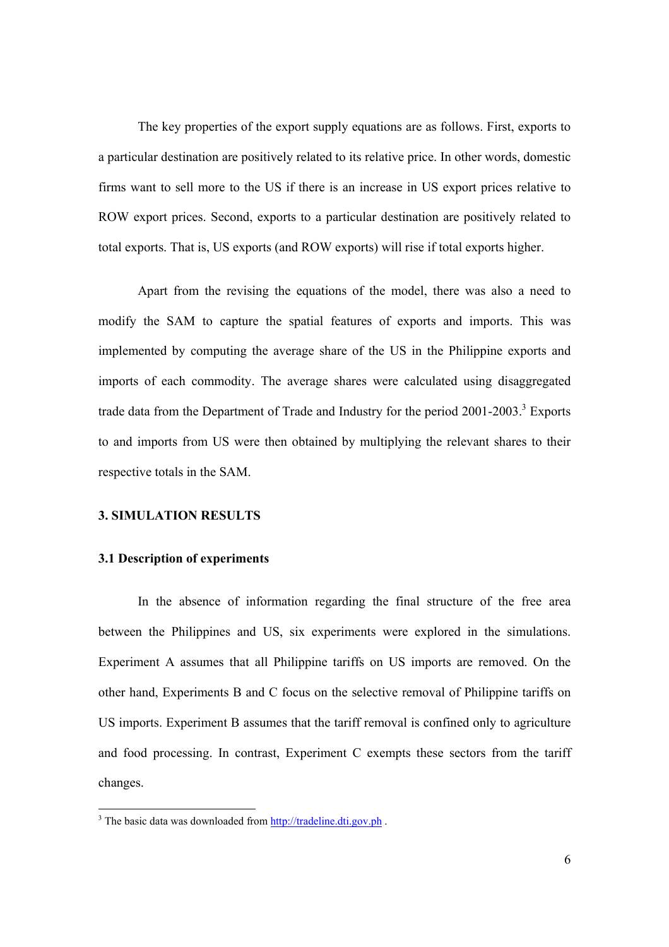The key properties of the export supply equations are as follows. First, exports to a particular destination are positively related to its relative price. In other words, domestic firms want to sell more to the US if there is an increase in US export prices relative to ROW export prices. Second, exports to a particular destination are positively related to total exports. That is, US exports (and ROW exports) will rise if total exports higher.

 Apart from the revising the equations of the model, there was also a need to modify the SAM to capture the spatial features of exports and imports. This was implemented by computing the average share of the US in the Philippine exports and imports of each commodity. The average shares were calculated using disaggregated trade data from the Department of Trade and Industry for the period  $2001-2003$ .<sup>3</sup> Exports to and imports from US were then obtained by multiplying the relevant shares to their respective totals in the SAM.

#### **3. SIMULATION RESULTS**

#### **3.1 Description of experiments**

 In the absence of information regarding the final structure of the free area between the Philippines and US, six experiments were explored in the simulations. Experiment A assumes that all Philippine tariffs on US imports are removed. On the other hand, Experiments B and C focus on the selective removal of Philippine tariffs on US imports. Experiment B assumes that the tariff removal is confined only to agriculture and food processing. In contrast, Experiment C exempts these sectors from the tariff changes.

<sup>&</sup>lt;sup>3</sup> The basic data was downloaded from http://tradeline.dti.gov.ph.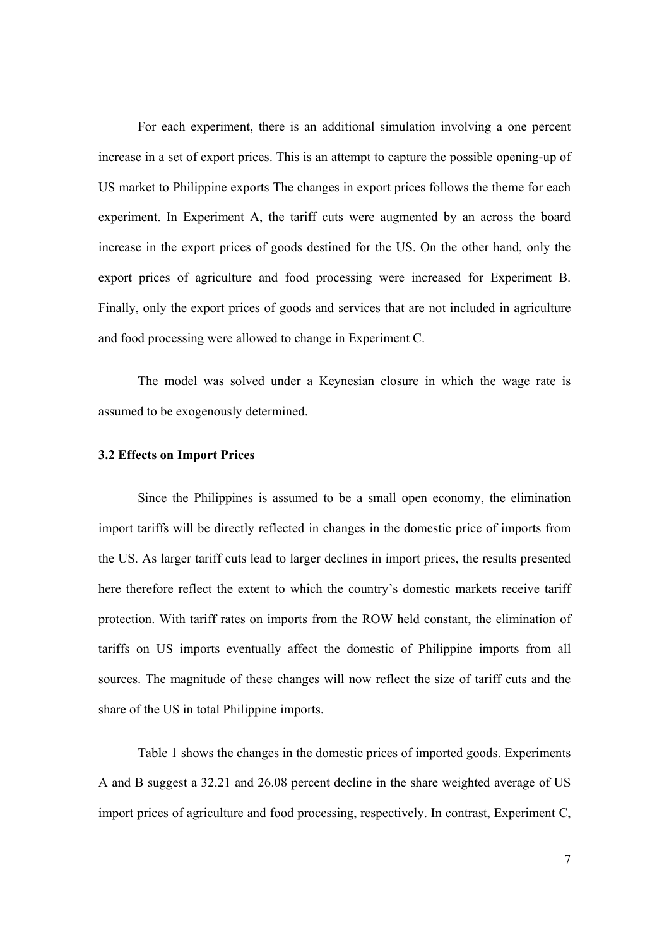For each experiment, there is an additional simulation involving a one percent increase in a set of export prices. This is an attempt to capture the possible opening-up of US market to Philippine exports The changes in export prices follows the theme for each experiment. In Experiment A, the tariff cuts were augmented by an across the board increase in the export prices of goods destined for the US. On the other hand, only the export prices of agriculture and food processing were increased for Experiment B. Finally, only the export prices of goods and services that are not included in agriculture and food processing were allowed to change in Experiment C.

 The model was solved under a Keynesian closure in which the wage rate is assumed to be exogenously determined.

#### **3.2 Effects on Import Prices**

 Since the Philippines is assumed to be a small open economy, the elimination import tariffs will be directly reflected in changes in the domestic price of imports from the US. As larger tariff cuts lead to larger declines in import prices, the results presented here therefore reflect the extent to which the country's domestic markets receive tariff protection. With tariff rates on imports from the ROW held constant, the elimination of tariffs on US imports eventually affect the domestic of Philippine imports from all sources. The magnitude of these changes will now reflect the size of tariff cuts and the share of the US in total Philippine imports.

 Table 1 shows the changes in the domestic prices of imported goods. Experiments A and B suggest a 32.21 and 26.08 percent decline in the share weighted average of US import prices of agriculture and food processing, respectively. In contrast, Experiment C,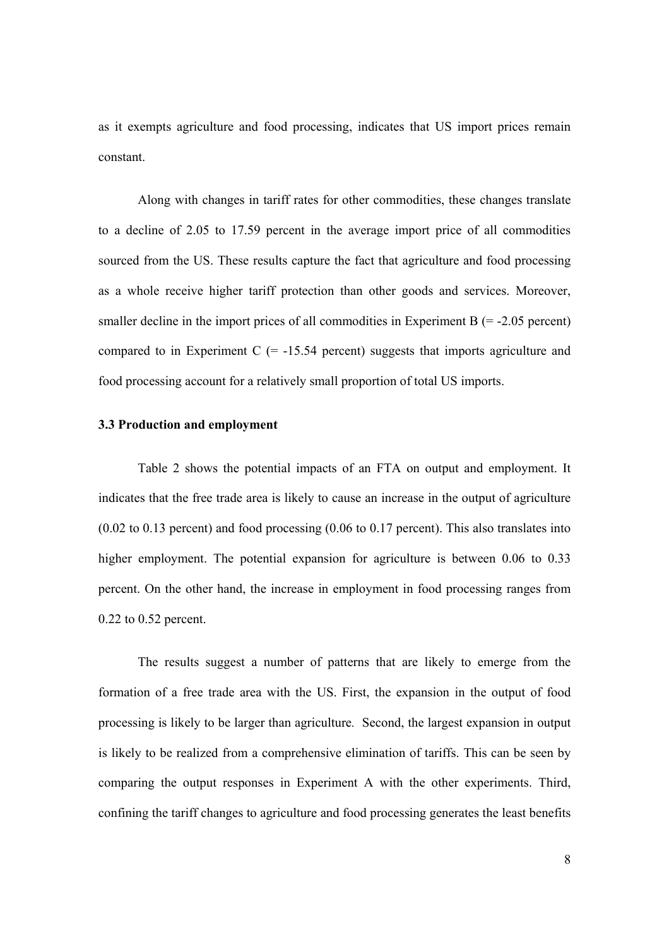as it exempts agriculture and food processing, indicates that US import prices remain constant.

Along with changes in tariff rates for other commodities, these changes translate to a decline of 2.05 to 17.59 percent in the average import price of all commodities sourced from the US. These results capture the fact that agriculture and food processing as a whole receive higher tariff protection than other goods and services. Moreover, smaller decline in the import prices of all commodities in Experiment B  $(= -2.05 \text{ percent})$ compared to in Experiment C  $(= -15.54$  percent) suggests that imports agriculture and food processing account for a relatively small proportion of total US imports.

#### **3.3 Production and employment**

 Table 2 shows the potential impacts of an FTA on output and employment. It indicates that the free trade area is likely to cause an increase in the output of agriculture (0.02 to 0.13 percent) and food processing (0.06 to 0.17 percent). This also translates into higher employment. The potential expansion for agriculture is between 0.06 to 0.33 percent. On the other hand, the increase in employment in food processing ranges from 0.22 to 0.52 percent.

 The results suggest a number of patterns that are likely to emerge from the formation of a free trade area with the US. First, the expansion in the output of food processing is likely to be larger than agriculture*.* Second, the largest expansion in output is likely to be realized from a comprehensive elimination of tariffs. This can be seen by comparing the output responses in Experiment A with the other experiments. Third, confining the tariff changes to agriculture and food processing generates the least benefits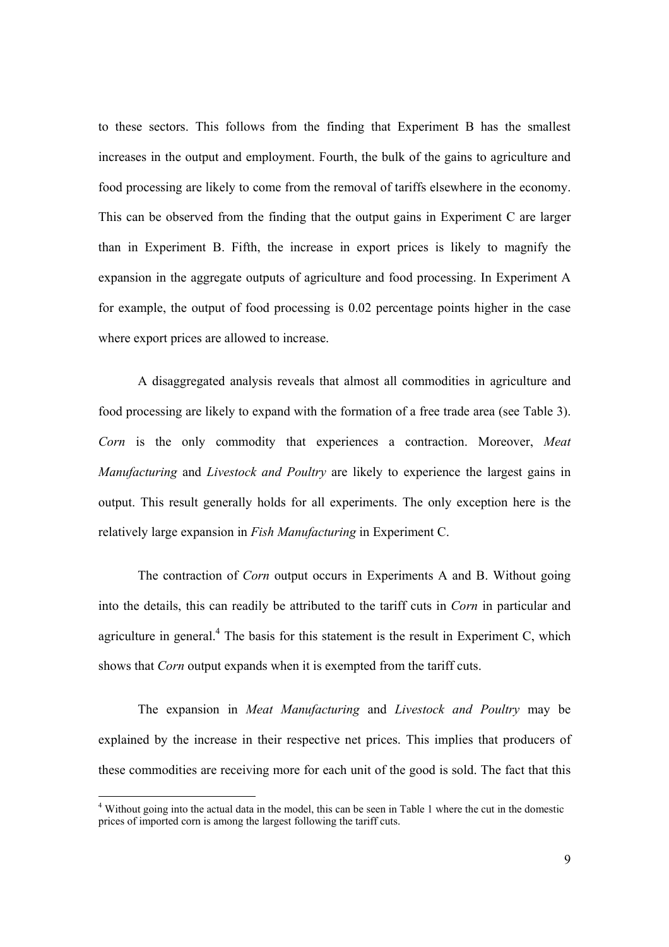to these sectors. This follows from the finding that Experiment B has the smallest increases in the output and employment. Fourth, the bulk of the gains to agriculture and food processing are likely to come from the removal of tariffs elsewhere in the economy. This can be observed from the finding that the output gains in Experiment C are larger than in Experiment B. Fifth, the increase in export prices is likely to magnify the expansion in the aggregate outputs of agriculture and food processing. In Experiment A for example, the output of food processing is 0.02 percentage points higher in the case where export prices are allowed to increase.

 A disaggregated analysis reveals that almost all commodities in agriculture and food processing are likely to expand with the formation of a free trade area (see Table 3). *Corn* is the only commodity that experiences a contraction. Moreover, *Meat Manufacturing* and *Livestock and Poultry* are likely to experience the largest gains in output. This result generally holds for all experiments. The only exception here is the relatively large expansion in *Fish Manufacturing* in Experiment C.

 The contraction of *Corn* output occurs in Experiments A and B. Without going into the details, this can readily be attributed to the tariff cuts in *Corn* in particular and agriculture in general.<sup>4</sup> The basis for this statement is the result in Experiment C, which shows that *Corn* output expands when it is exempted from the tariff cuts.

 The expansion in *Meat Manufacturing* and *Livestock and Poultry* may be explained by the increase in their respective net prices. This implies that producers of these commodities are receiving more for each unit of the good is sold. The fact that this

<sup>&</sup>lt;sup>4</sup> Without going into the actual data in the model, this can be seen in Table 1 where the cut in the domestic prices of imported corn is among the largest following the tariff cuts.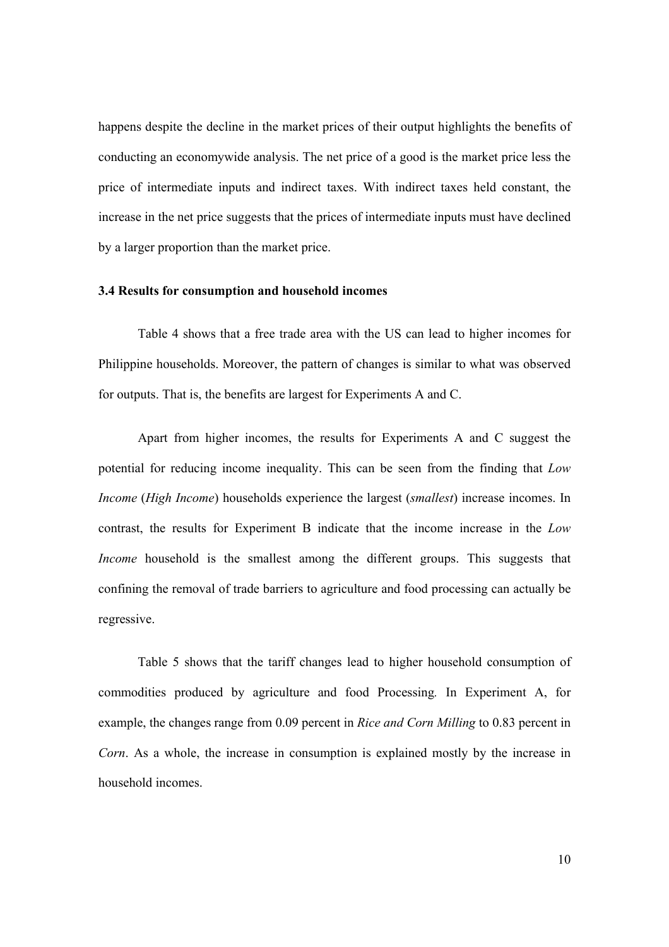happens despite the decline in the market prices of their output highlights the benefits of conducting an economywide analysis. The net price of a good is the market price less the price of intermediate inputs and indirect taxes. With indirect taxes held constant, the increase in the net price suggests that the prices of intermediate inputs must have declined by a larger proportion than the market price.

#### **3.4 Results for consumption and household incomes**

 Table 4 shows that a free trade area with the US can lead to higher incomes for Philippine households. Moreover, the pattern of changes is similar to what was observed for outputs. That is, the benefits are largest for Experiments A and C.

Apart from higher incomes, the results for Experiments A and C suggest the potential for reducing income inequality. This can be seen from the finding that *Low Income* (*High Income*) households experience the largest (*smallest*) increase incomes. In contrast, the results for Experiment B indicate that the income increase in the *Low Income* household is the smallest among the different groups. This suggests that confining the removal of trade barriers to agriculture and food processing can actually be regressive.

 Table 5 shows that the tariff changes lead to higher household consumption of commodities produced by agriculture and food Processing*.* In Experiment A, for example, the changes range from 0.09 percent in *Rice and Corn Milling* to 0.83 percent in *Corn*. As a whole, the increase in consumption is explained mostly by the increase in household incomes.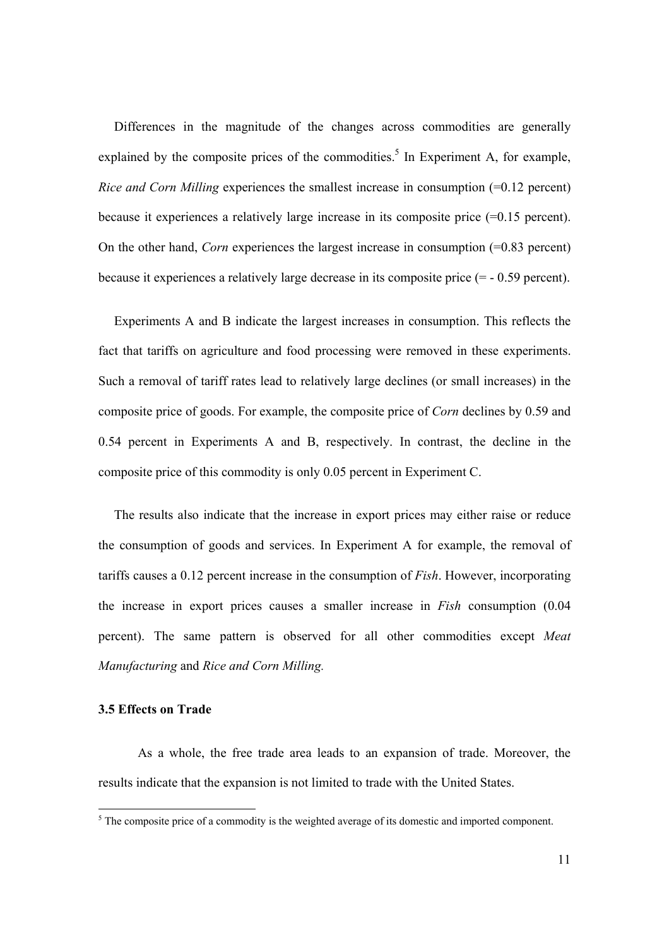Differences in the magnitude of the changes across commodities are generally explained by the composite prices of the commodities.<sup>5</sup> In Experiment A, for example, *Rice and Corn Milling* experiences the smallest increase in consumption (=0.12 percent) because it experiences a relatively large increase in its composite price (=0.15 percent). On the other hand, *Corn* experiences the largest increase in consumption  $(=0.83$  percent) because it experiences a relatively large decrease in its composite price (= - 0.59 percent).

Experiments A and B indicate the largest increases in consumption. This reflects the fact that tariffs on agriculture and food processing were removed in these experiments. Such a removal of tariff rates lead to relatively large declines (or small increases) in the composite price of goods. For example, the composite price of *Corn* declines by 0.59 and 0.54 percent in Experiments A and B, respectively. In contrast, the decline in the composite price of this commodity is only 0.05 percent in Experiment C.

The results also indicate that the increase in export prices may either raise or reduce the consumption of goods and services. In Experiment A for example, the removal of tariffs causes a 0.12 percent increase in the consumption of *Fish*. However, incorporating the increase in export prices causes a smaller increase in *Fish* consumption (0.04 percent). The same pattern is observed for all other commodities except *Meat Manufacturing* and *Rice and Corn Milling.*

#### **3.5 Effects on Trade**

 As a whole, the free trade area leads to an expansion of trade. Moreover, the results indicate that the expansion is not limited to trade with the United States.

<sup>&</sup>lt;sup>5</sup> The composite price of a commodity is the weighted average of its domestic and imported component.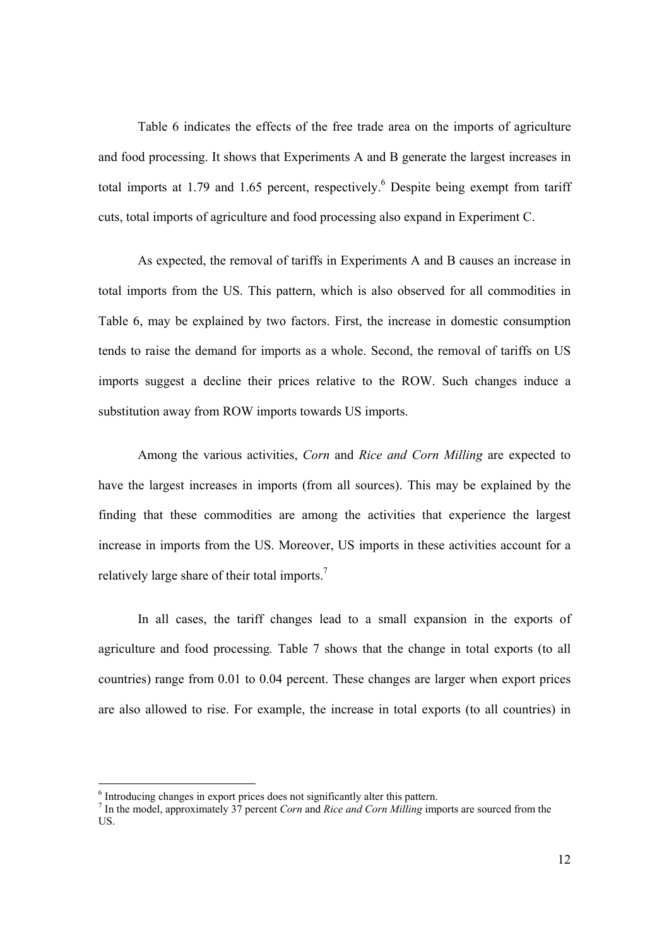Table 6 indicates the effects of the free trade area on the imports of agriculture and food processing. It shows that Experiments A and B generate the largest increases in total imports at 1.79 and 1.65 percent, respectively. Despite being exempt from tariff cuts, total imports of agriculture and food processing also expand in Experiment C.

As expected, the removal of tariffs in Experiments A and B causes an increase in total imports from the US. This pattern, which is also observed for all commodities in Table 6, may be explained by two factors. First, the increase in domestic consumption tends to raise the demand for imports as a whole. Second, the removal of tariffs on US imports suggest a decline their prices relative to the ROW. Such changes induce a substitution away from ROW imports towards US imports.

Among the various activities, *Corn* and *Rice and Corn Milling* are expected to have the largest increases in imports (from all sources). This may be explained by the finding that these commodities are among the activities that experience the largest increase in imports from the US. Moreover, US imports in these activities account for a relatively large share of their total imports.7

 In all cases, the tariff changes lead to a small expansion in the exports of agriculture and food processing*.* Table 7 shows that the change in total exports (to all countries) range from 0.01 to 0.04 percent. These changes are larger when export prices are also allowed to rise. For example, the increase in total exports (to all countries) in

<sup>&</sup>lt;sup>6</sup> Introducing changes in export prices does not significantly alter this pattern.

<sup>7</sup> In the model, approximately 37 percent *Corn* and *Rice and Corn Milling* imports are sourced from the US.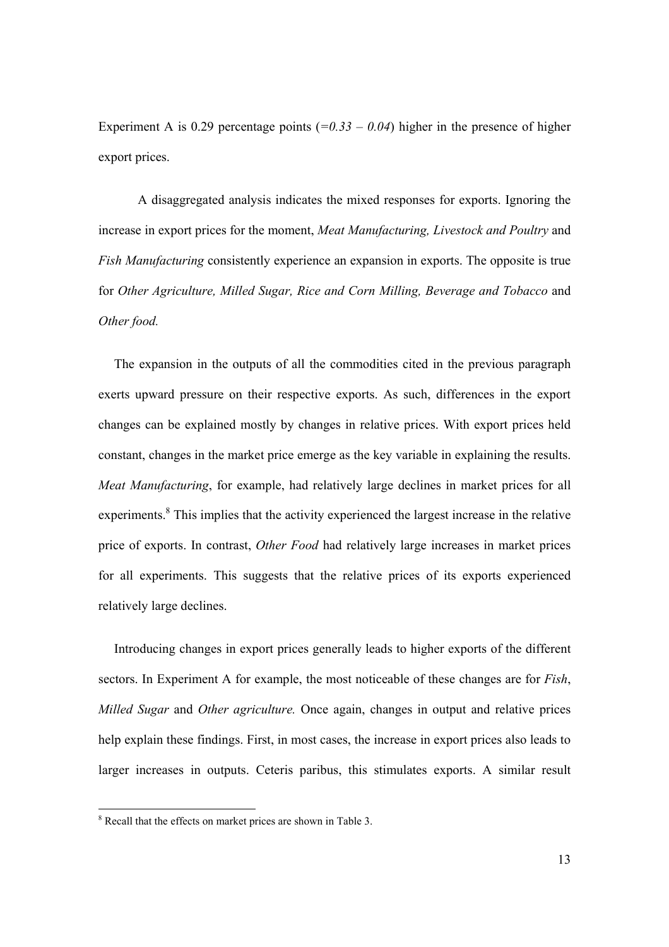Experiment A is 0.29 percentage points  $(=0.33 - 0.04)$  higher in the presence of higher export prices.

 A disaggregated analysis indicates the mixed responses for exports. Ignoring the increase in export prices for the moment, *Meat Manufacturing, Livestock and Poultry* and *Fish Manufacturing* consistently experience an expansion in exports. The opposite is true for *Other Agriculture, Milled Sugar, Rice and Corn Milling, Beverage and Tobacco* and *Other food.*

The expansion in the outputs of all the commodities cited in the previous paragraph exerts upward pressure on their respective exports. As such, differences in the export changes can be explained mostly by changes in relative prices. With export prices held constant, changes in the market price emerge as the key variable in explaining the results. *Meat Manufacturing*, for example, had relatively large declines in market prices for all experiments.<sup>8</sup> This implies that the activity experienced the largest increase in the relative price of exports. In contrast, *Other Food* had relatively large increases in market prices for all experiments. This suggests that the relative prices of its exports experienced relatively large declines.

Introducing changes in export prices generally leads to higher exports of the different sectors. In Experiment A for example, the most noticeable of these changes are for *Fish*, *Milled Sugar* and *Other agriculture.* Once again, changes in output and relative prices help explain these findings. First, in most cases, the increase in export prices also leads to larger increases in outputs. Ceteris paribus, this stimulates exports. A similar result

 $\overline{a}$ 

<sup>&</sup>lt;sup>8</sup> Recall that the effects on market prices are shown in Table 3.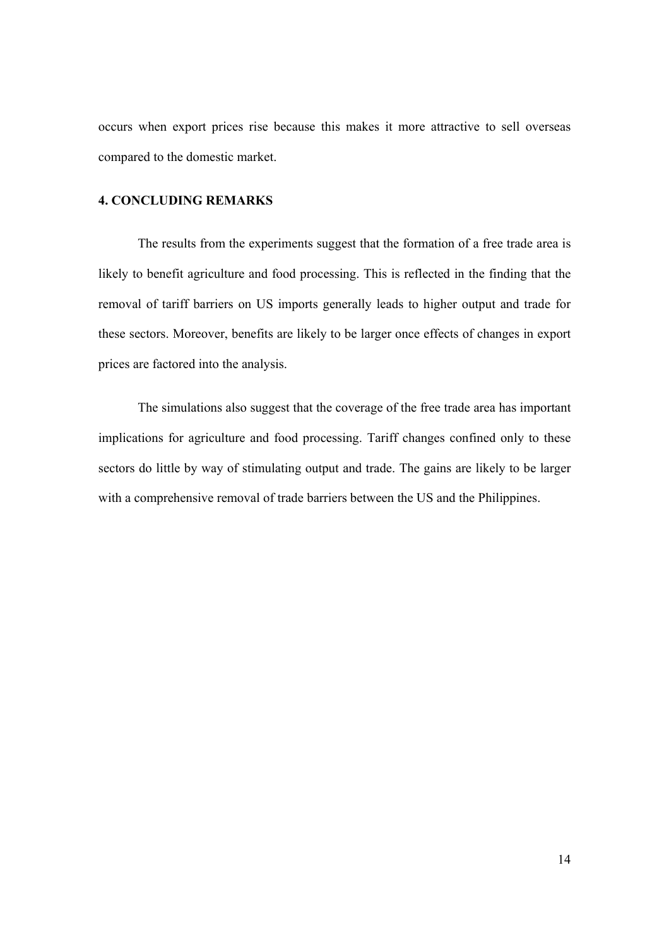occurs when export prices rise because this makes it more attractive to sell overseas compared to the domestic market.

#### **4. CONCLUDING REMARKS**

 The results from the experiments suggest that the formation of a free trade area is likely to benefit agriculture and food processing. This is reflected in the finding that the removal of tariff barriers on US imports generally leads to higher output and trade for these sectors. Moreover, benefits are likely to be larger once effects of changes in export prices are factored into the analysis.

 The simulations also suggest that the coverage of the free trade area has important implications for agriculture and food processing. Tariff changes confined only to these sectors do little by way of stimulating output and trade. The gains are likely to be larger with a comprehensive removal of trade barriers between the US and the Philippines.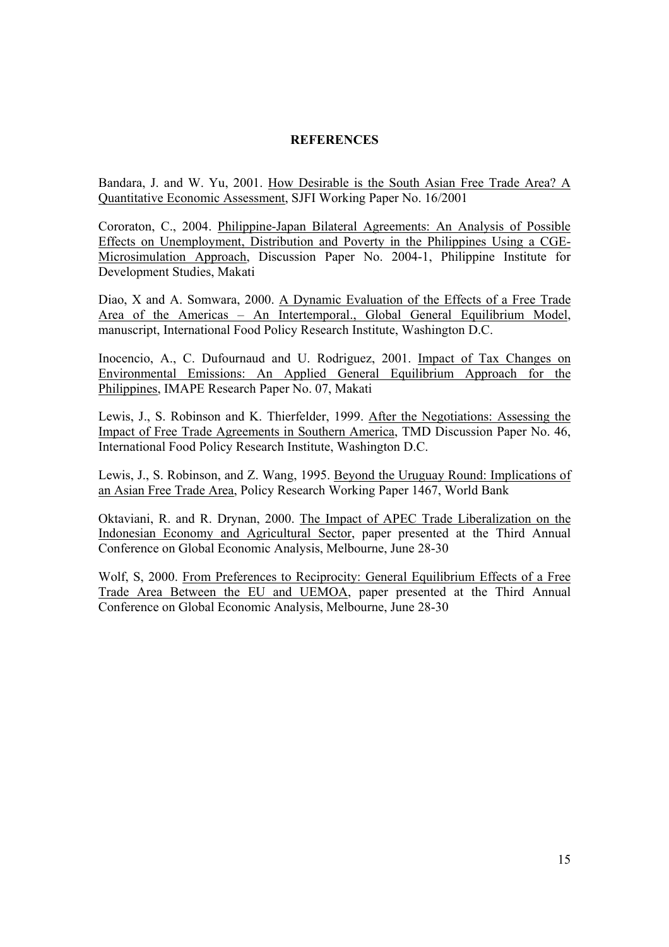#### **REFERENCES**

Bandara, J. and W. Yu, 2001. How Desirable is the South Asian Free Trade Area? A Quantitative Economic Assessment, SJFI Working Paper No. 16/2001

Cororaton, C., 2004. Philippine-Japan Bilateral Agreements: An Analysis of Possible Effects on Unemployment, Distribution and Poverty in the Philippines Using a CGE-Microsimulation Approach, Discussion Paper No. 2004-1, Philippine Institute for Development Studies, Makati

Diao, X and A. Somwara, 2000. A Dynamic Evaluation of the Effects of a Free Trade Area of the Americas – An Intertemporal., Global General Equilibrium Model, manuscript, International Food Policy Research Institute, Washington D.C.

Inocencio, A., C. Dufournaud and U. Rodriguez, 2001. Impact of Tax Changes on Environmental Emissions: An Applied General Equilibrium Approach for the Philippines, IMAPE Research Paper No. 07, Makati

Lewis, J., S. Robinson and K. Thierfelder, 1999. After the Negotiations: Assessing the Impact of Free Trade Agreements in Southern America, TMD Discussion Paper No. 46, International Food Policy Research Institute, Washington D.C.

Lewis, J., S. Robinson, and Z. Wang, 1995. Beyond the Uruguay Round: Implications of an Asian Free Trade Area, Policy Research Working Paper 1467, World Bank

Oktaviani, R. and R. Drynan, 2000. The Impact of APEC Trade Liberalization on the Indonesian Economy and Agricultural Sector, paper presented at the Third Annual Conference on Global Economic Analysis, Melbourne, June 28-30

Wolf, S, 2000. From Preferences to Reciprocity: General Equilibrium Effects of a Free Trade Area Between the EU and UEMOA, paper presented at the Third Annual Conference on Global Economic Analysis, Melbourne, June 28-30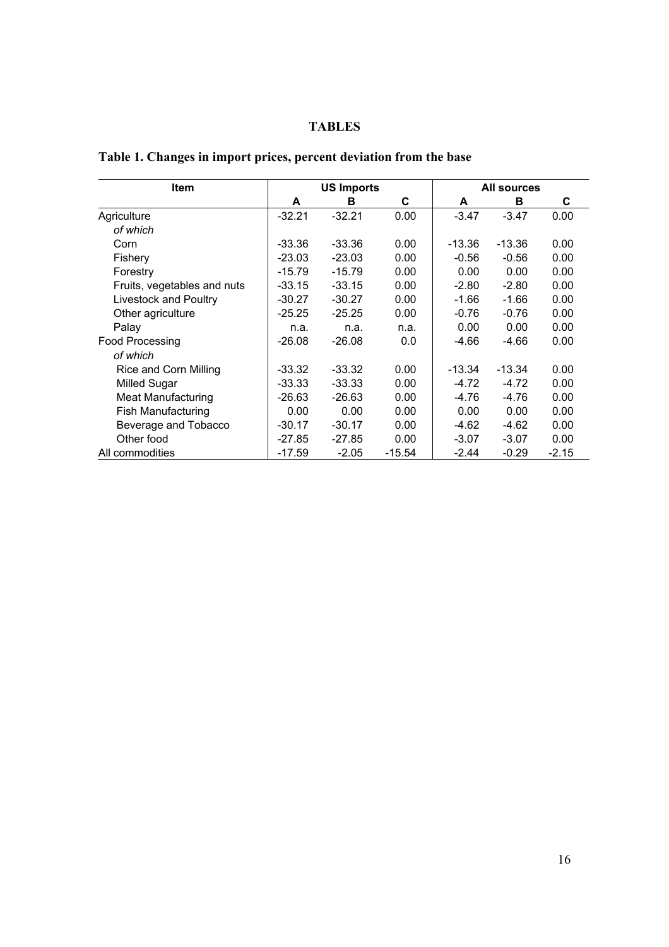### **TABLES**

| <b>Item</b>                 |          | <b>US Imports</b> |          | <b>All sources</b> |          |         |  |
|-----------------------------|----------|-------------------|----------|--------------------|----------|---------|--|
|                             | A        | в                 | C        | A                  | в        | С       |  |
| Agriculture                 | $-32.21$ | $-32.21$          | 0.00     | $-3.47$            | $-3.47$  | 0.00    |  |
| of which                    |          |                   |          |                    |          |         |  |
| Corn                        | $-33.36$ | $-33.36$          | 0.00     | $-13.36$           | $-13.36$ | 0.00    |  |
| Fishery                     | $-23.03$ | $-23.03$          | 0.00     | $-0.56$            | $-0.56$  | 0.00    |  |
| Forestry                    | $-15.79$ | $-15.79$          | 0.00     | 0.00               | 0.00     | 0.00    |  |
| Fruits, vegetables and nuts | $-33.15$ | $-33.15$          | 0.00     | $-2.80$            | $-2.80$  | 0.00    |  |
| Livestock and Poultry       | $-30.27$ | $-30.27$          | 0.00     | $-1.66$            | $-1.66$  | 0.00    |  |
| Other agriculture           | $-25.25$ | $-25.25$          | 0.00     | $-0.76$            | $-0.76$  | 0.00    |  |
| Palay                       | n.a.     | n.a.              | n.a.     | 0.00               | 0.00     | 0.00    |  |
| <b>Food Processing</b>      | $-26.08$ | $-26.08$          | 0.0      | -4.66              | $-4.66$  | 0.00    |  |
| of which                    |          |                   |          |                    |          |         |  |
| Rice and Corn Milling       | $-33.32$ | $-33.32$          | 0.00     | -13.34             | $-13.34$ | 0.00    |  |
| <b>Milled Sugar</b>         | $-33.33$ | $-33.33$          | 0.00     | -4.72              | $-4.72$  | 0.00    |  |
| <b>Meat Manufacturing</b>   | $-26.63$ | $-26.63$          | 0.00     | -4.76              | $-4.76$  | 0.00    |  |
| Fish Manufacturing          | 0.00     | 0.00              | 0.00     | 0.00               | 0.00     | 0.00    |  |
| Beverage and Tobacco        | $-30.17$ | $-30.17$          | 0.00     | -4.62              | $-4.62$  | 0.00    |  |
| Other food                  | $-27.85$ | $-27.85$          | 0.00     | $-3.07$            | $-3.07$  | 0.00    |  |
| All commodities             | $-17.59$ | $-2.05$           | $-15.54$ | $-2.44$            | $-0.29$  | $-2.15$ |  |

### **Table 1. Changes in import prices, percent deviation from the base**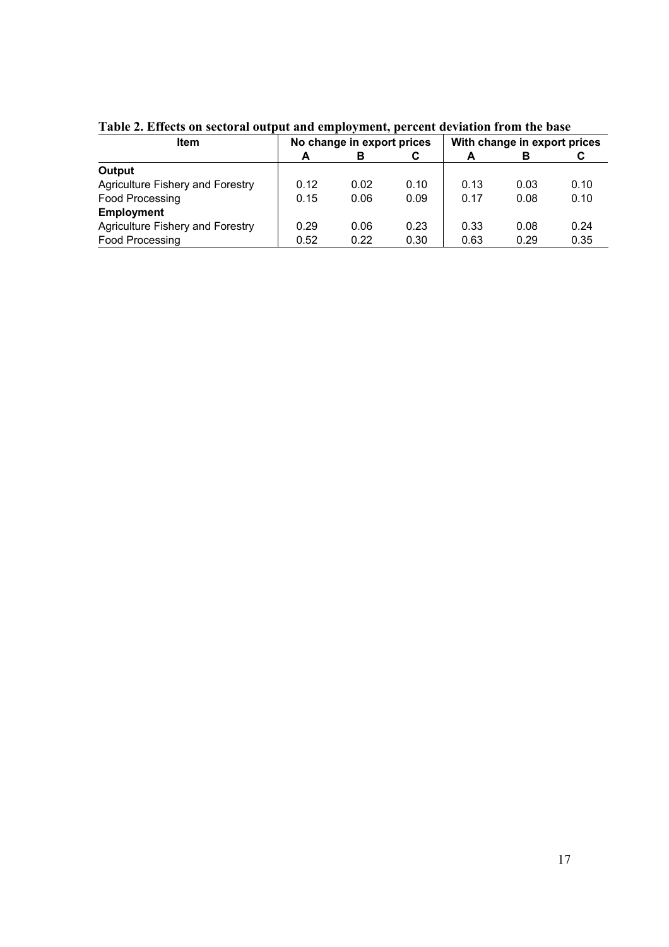| <b>Item</b>                      | No change in export prices |      |      | With change in export prices |      |      |
|----------------------------------|----------------------------|------|------|------------------------------|------|------|
|                                  | A                          | в    | C    | A                            | в    | C    |
| Output                           |                            |      |      |                              |      |      |
| Agriculture Fishery and Forestry | 0.12                       | 0.02 | 0.10 | 0.13                         | 0.03 | 0.10 |
| Food Processing                  | 0.15                       | 0.06 | 0.09 | 0.17                         | 0.08 | 0.10 |
| <b>Employment</b>                |                            |      |      |                              |      |      |
| Agriculture Fishery and Forestry | 0.29                       | 0.06 | 0.23 | 0.33                         | 0.08 | 0.24 |
| Food Processing                  | 0.52                       | 0.22 | 0.30 | 0.63                         | 0.29 | 0.35 |

**Table 2. Effects on sectoral output and employment, percent deviation from the base**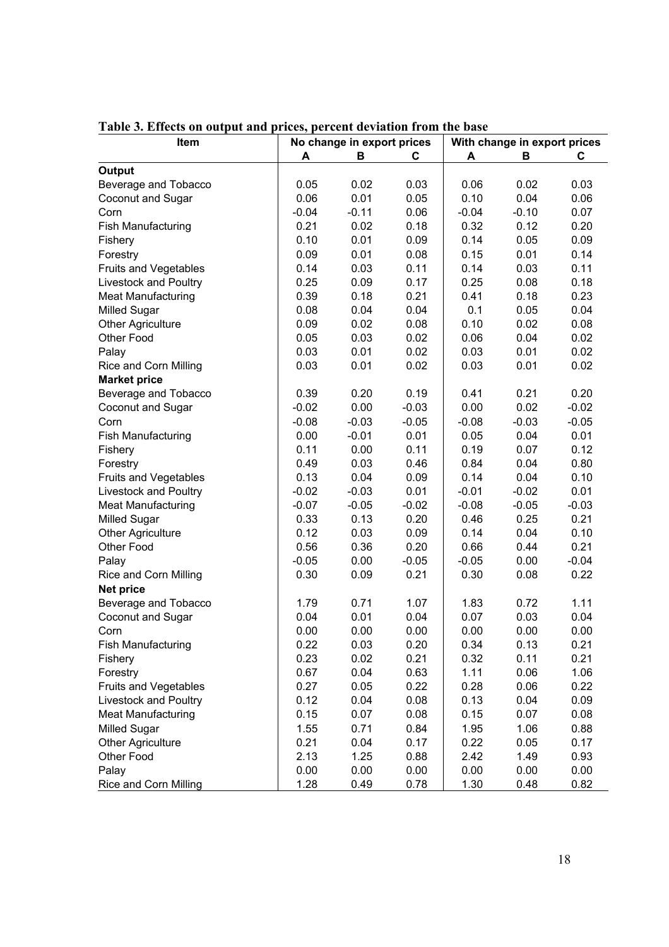| Item                         | No change in export prices |         |         | With change in export prices |         |         |  |
|------------------------------|----------------------------|---------|---------|------------------------------|---------|---------|--|
|                              | A                          | В       | C       | A                            | B       | C       |  |
| Output                       |                            |         |         |                              |         |         |  |
| Beverage and Tobacco         | 0.05                       | 0.02    | 0.03    | 0.06                         | 0.02    | 0.03    |  |
| Coconut and Sugar            | 0.06                       | 0.01    | 0.05    | 0.10                         | 0.04    | 0.06    |  |
| Corn                         | $-0.04$                    | $-0.11$ | 0.06    | $-0.04$                      | $-0.10$ | 0.07    |  |
| <b>Fish Manufacturing</b>    | 0.21                       | 0.02    | 0.18    | 0.32                         | 0.12    | 0.20    |  |
| Fishery                      | 0.10                       | 0.01    | 0.09    | 0.14                         | 0.05    | 0.09    |  |
| Forestry                     | 0.09                       | 0.01    | 0.08    | 0.15                         | 0.01    | 0.14    |  |
| Fruits and Vegetables        | 0.14                       | 0.03    | 0.11    | 0.14                         | 0.03    | 0.11    |  |
| Livestock and Poultry        | 0.25                       | 0.09    | 0.17    | 0.25                         | 0.08    | 0.18    |  |
| <b>Meat Manufacturing</b>    | 0.39                       | 0.18    | 0.21    | 0.41                         | 0.18    | 0.23    |  |
| <b>Milled Sugar</b>          | 0.08                       | 0.04    | 0.04    | 0.1                          | 0.05    | 0.04    |  |
| <b>Other Agriculture</b>     | 0.09                       | 0.02    | 0.08    | 0.10                         | 0.02    | 0.08    |  |
| Other Food                   | 0.05                       | 0.03    | 0.02    | 0.06                         | 0.04    | 0.02    |  |
| Palay                        | 0.03                       | 0.01    | 0.02    | 0.03                         | 0.01    | 0.02    |  |
| Rice and Corn Milling        | 0.03                       | 0.01    | 0.02    | 0.03                         | 0.01    | 0.02    |  |
| <b>Market price</b>          |                            |         |         |                              |         |         |  |
| Beverage and Tobacco         | 0.39                       | 0.20    | 0.19    | 0.41                         | 0.21    | 0.20    |  |
| Coconut and Sugar            | $-0.02$                    | 0.00    | $-0.03$ | 0.00                         | 0.02    | $-0.02$ |  |
| Corn                         | $-0.08$                    | $-0.03$ | $-0.05$ | $-0.08$                      | $-0.03$ | $-0.05$ |  |
| <b>Fish Manufacturing</b>    | 0.00                       | $-0.01$ | 0.01    | 0.05                         | 0.04    | 0.01    |  |
| Fishery                      | 0.11                       | 0.00    | 0.11    | 0.19                         | 0.07    | 0.12    |  |
| Forestry                     | 0.49                       | 0.03    | 0.46    | 0.84                         | 0.04    | 0.80    |  |
| <b>Fruits and Vegetables</b> | 0.13                       | 0.04    | 0.09    | 0.14                         | 0.04    | 0.10    |  |
| Livestock and Poultry        | $-0.02$                    | $-0.03$ | 0.01    | $-0.01$                      | $-0.02$ | 0.01    |  |
| Meat Manufacturing           | $-0.07$                    | $-0.05$ | $-0.02$ | $-0.08$                      | $-0.05$ | $-0.03$ |  |
| <b>Milled Sugar</b>          | 0.33                       | 0.13    | 0.20    | 0.46                         | 0.25    | 0.21    |  |
| <b>Other Agriculture</b>     | 0.12                       | 0.03    | 0.09    | 0.14                         | 0.04    | 0.10    |  |
| Other Food                   | 0.56                       | 0.36    | 0.20    | 0.66                         | 0.44    | 0.21    |  |
| Palay                        | $-0.05$                    | 0.00    | $-0.05$ | $-0.05$                      | 0.00    | $-0.04$ |  |
| Rice and Corn Milling        | 0.30                       | 0.09    | 0.21    | 0.30                         | 0.08    | 0.22    |  |
| <b>Net price</b>             |                            |         |         |                              |         |         |  |
| Beverage and Tobacco         | 1.79                       | 0.71    | 1.07    | 1.83                         | 0.72    | 1.11    |  |
| Coconut and Sugar            | 0.04                       | 0.01    | 0.04    | 0.07                         | 0.03    | 0.04    |  |
| Corn                         | 0.00                       | 0.00    | 0.00    | 0.00                         | 0.00    | 0.00    |  |
| <b>Fish Manufacturing</b>    | 0.22                       | 0.03    | 0.20    | 0.34                         | 0.13    | 0.21    |  |
| Fishery                      | 0.23                       | 0.02    | 0.21    | 0.32                         | 0.11    | 0.21    |  |
| Forestry                     | 0.67                       | 0.04    | 0.63    | 1.11                         | 0.06    | 1.06    |  |
| Fruits and Vegetables        | 0.27                       | 0.05    | 0.22    | 0.28                         | 0.06    | 0.22    |  |
| Livestock and Poultry        | 0.12                       | 0.04    | 0.08    | 0.13                         | 0.04    | 0.09    |  |
| <b>Meat Manufacturing</b>    | 0.15                       | 0.07    | 0.08    | 0.15                         | 0.07    | 0.08    |  |
| <b>Milled Sugar</b>          | 1.55                       | 0.71    | 0.84    | 1.95                         | 1.06    | 0.88    |  |
| <b>Other Agriculture</b>     | 0.21                       | 0.04    | 0.17    | 0.22                         | 0.05    | 0.17    |  |
| Other Food                   | 2.13                       | 1.25    | 0.88    | 2.42                         | 1.49    | 0.93    |  |
| Palay                        | 0.00                       | 0.00    | 0.00    | 0.00                         | 0.00    | 0.00    |  |
| Rice and Corn Milling        | 1.28                       | 0.49    | 0.78    | 1.30                         | 0.48    | 0.82    |  |
|                              |                            |         |         |                              |         |         |  |

**Table 3. Effects on output and prices, percent deviation from the base**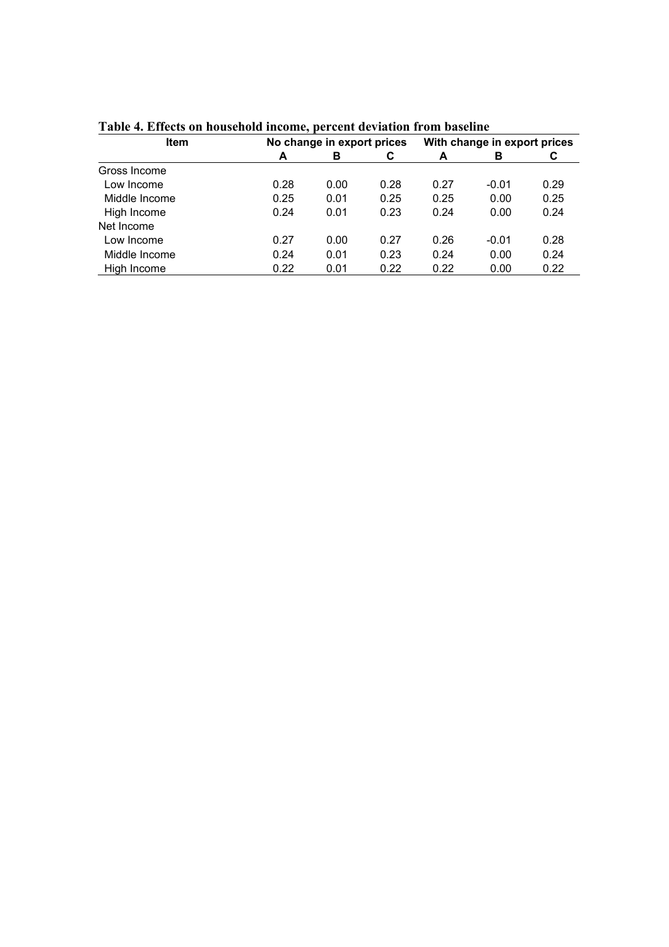| <b>Item</b>   |      | No change in export prices |      | With change in export prices |         |      |
|---------------|------|----------------------------|------|------------------------------|---------|------|
|               | A    | в                          | C    | A                            | в       | C    |
| Gross Income  |      |                            |      |                              |         |      |
| Low Income    | 0.28 | 0.00                       | 0.28 | 0.27                         | $-0.01$ | 0.29 |
| Middle Income | 0.25 | 0.01                       | 0.25 | 0.25                         | 0.00    | 0.25 |
| High Income   | 0.24 | 0.01                       | 0.23 | 0.24                         | 0.00    | 0.24 |
| Net Income    |      |                            |      |                              |         |      |
| Low Income    | 0.27 | 0.00                       | 0.27 | 0.26                         | $-0.01$ | 0.28 |
| Middle Income | 0.24 | 0.01                       | 0.23 | 0.24                         | 0.00    | 0.24 |
| High Income   | 0.22 | 0.01                       | 0.22 | 0.22                         | 0.00    | 0.22 |

**Table 4. Effects on household income, percent deviation from baseline**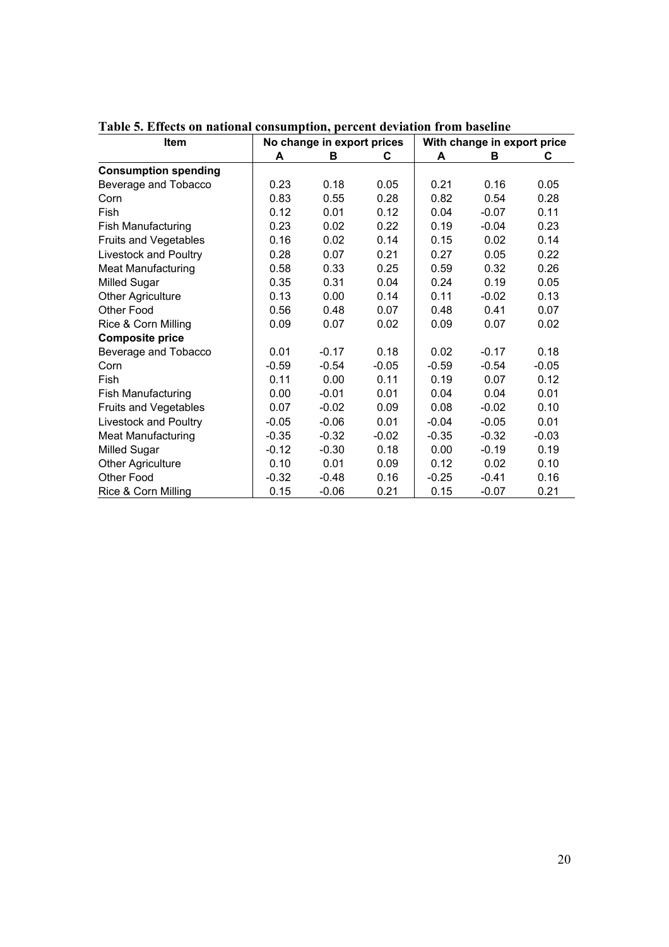| <b>Item</b>                 |         | No change in export prices |         |         | With change in export price |         |  |
|-----------------------------|---------|----------------------------|---------|---------|-----------------------------|---------|--|
|                             | A       | в                          | C       | A       | в                           | C       |  |
| <b>Consumption spending</b> |         |                            |         |         |                             |         |  |
| Beverage and Tobacco        | 0.23    | 0.18                       | 0.05    | 0.21    | 0.16                        | 0.05    |  |
| Corn                        | 0.83    | 0.55                       | 0.28    | 0.82    | 0.54                        | 0.28    |  |
| Fish                        | 0.12    | 0.01                       | 0.12    | 0.04    | $-0.07$                     | 0.11    |  |
| <b>Fish Manufacturing</b>   | 0.23    | 0.02                       | 0.22    | 0.19    | $-0.04$                     | 0.23    |  |
| Fruits and Vegetables       | 0.16    | 0.02                       | 0.14    | 0.15    | 0.02                        | 0.14    |  |
| Livestock and Poultry       | 0.28    | 0.07                       | 0.21    | 0.27    | 0.05                        | 0.22    |  |
| <b>Meat Manufacturing</b>   | 0.58    | 0.33                       | 0.25    | 0.59    | 0.32                        | 0.26    |  |
| <b>Milled Sugar</b>         | 0.35    | 0.31                       | 0.04    | 0.24    | 0.19                        | 0.05    |  |
| <b>Other Agriculture</b>    | 0.13    | 0.00                       | 0.14    | 0.11    | $-0.02$                     | 0.13    |  |
| Other Food                  | 0.56    | 0.48                       | 0.07    | 0.48    | 0.41                        | 0.07    |  |
| Rice & Corn Milling         | 0.09    | 0.07                       | 0.02    | 0.09    | 0.07                        | 0.02    |  |
| <b>Composite price</b>      |         |                            |         |         |                             |         |  |
| Beverage and Tobacco        | 0.01    | $-0.17$                    | 0.18    | 0.02    | $-0.17$                     | 0.18    |  |
| Corn                        | $-0.59$ | $-0.54$                    | $-0.05$ | $-0.59$ | $-0.54$                     | $-0.05$ |  |
| Fish                        | 0.11    | 0.00                       | 0.11    | 0.19    | 0.07                        | 0.12    |  |
| Fish Manufacturing          | 0.00    | $-0.01$                    | 0.01    | 0.04    | 0.04                        | 0.01    |  |
| Fruits and Vegetables       | 0.07    | $-0.02$                    | 0.09    | 0.08    | $-0.02$                     | 0.10    |  |
| Livestock and Poultry       | $-0.05$ | $-0.06$                    | 0.01    | $-0.04$ | $-0.05$                     | 0.01    |  |
| Meat Manufacturing          | $-0.35$ | $-0.32$                    | $-0.02$ | $-0.35$ | $-0.32$                     | $-0.03$ |  |
| Milled Sugar                | $-0.12$ | $-0.30$                    | 0.18    | 0.00    | $-0.19$                     | 0.19    |  |
| <b>Other Agriculture</b>    | 0.10    | 0.01                       | 0.09    | 0.12    | 0.02                        | 0.10    |  |
| Other Food                  | $-0.32$ | $-0.48$                    | 0.16    | $-0.25$ | $-0.41$                     | 0.16    |  |
| Rice & Corn Milling         | 0.15    | $-0.06$                    | 0.21    | 0.15    | $-0.07$                     | 0.21    |  |

**Table 5. Effects on national consumption, percent deviation from baseline**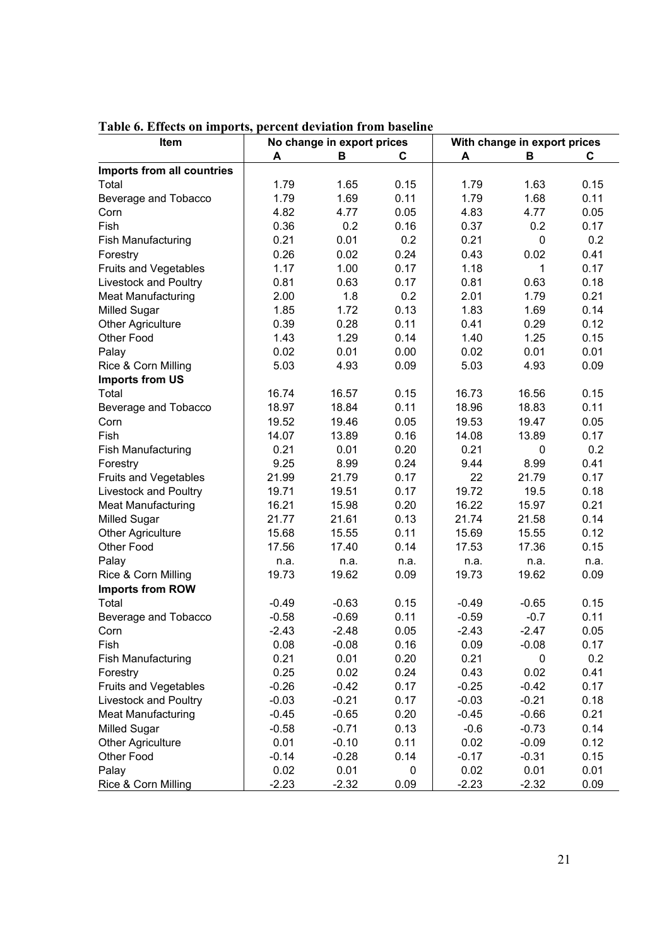| <b>COD OIL INTE</b><br>Item  | No change in export prices |         |      | With change in export prices |         |      |
|------------------------------|----------------------------|---------|------|------------------------------|---------|------|
|                              | A                          | В       | С    | A                            | B       | C    |
| Imports from all countries   |                            |         |      |                              |         |      |
| Total                        | 1.79                       | 1.65    | 0.15 | 1.79                         | 1.63    | 0.15 |
| Beverage and Tobacco         | 1.79                       | 1.69    | 0.11 | 1.79                         | 1.68    | 0.11 |
| Corn                         | 4.82                       | 4.77    | 0.05 | 4.83                         | 4.77    | 0.05 |
| Fish                         | 0.36                       | 0.2     | 0.16 | 0.37                         | 0.2     | 0.17 |
| <b>Fish Manufacturing</b>    | 0.21                       | 0.01    | 0.2  | 0.21                         | 0       | 0.2  |
| Forestry                     | 0.26                       | 0.02    | 0.24 | 0.43                         | 0.02    | 0.41 |
| Fruits and Vegetables        | 1.17                       | 1.00    | 0.17 | 1.18                         | 1       | 0.17 |
| Livestock and Poultry        | 0.81                       | 0.63    | 0.17 | 0.81                         | 0.63    | 0.18 |
| <b>Meat Manufacturing</b>    | 2.00                       | 1.8     | 0.2  | 2.01                         | 1.79    | 0.21 |
| <b>Milled Sugar</b>          | 1.85                       | 1.72    | 0.13 | 1.83                         | 1.69    | 0.14 |
| <b>Other Agriculture</b>     | 0.39                       | 0.28    | 0.11 | 0.41                         | 0.29    | 0.12 |
| Other Food                   | 1.43                       | 1.29    | 0.14 | 1.40                         | 1.25    | 0.15 |
| Palay                        | 0.02                       | 0.01    | 0.00 | 0.02                         | 0.01    | 0.01 |
| Rice & Corn Milling          | 5.03                       | 4.93    | 0.09 | 5.03                         | 4.93    | 0.09 |
| <b>Imports from US</b>       |                            |         |      |                              |         |      |
| Total                        | 16.74                      | 16.57   | 0.15 | 16.73                        | 16.56   | 0.15 |
| Beverage and Tobacco         | 18.97                      | 18.84   | 0.11 | 18.96                        | 18.83   | 0.11 |
| Corn                         | 19.52                      | 19.46   | 0.05 | 19.53                        | 19.47   | 0.05 |
| Fish                         | 14.07                      | 13.89   | 0.16 | 14.08                        | 13.89   | 0.17 |
| <b>Fish Manufacturing</b>    | 0.21                       | 0.01    | 0.20 | 0.21                         | 0       | 0.2  |
| Forestry                     | 9.25                       | 8.99    | 0.24 | 9.44                         | 8.99    | 0.41 |
| Fruits and Vegetables        | 21.99                      | 21.79   | 0.17 | 22                           | 21.79   | 0.17 |
| Livestock and Poultry        | 19.71                      | 19.51   | 0.17 | 19.72                        | 19.5    | 0.18 |
| <b>Meat Manufacturing</b>    | 16.21                      | 15.98   | 0.20 | 16.22                        | 15.97   | 0.21 |
| <b>Milled Sugar</b>          | 21.77                      | 21.61   | 0.13 | 21.74                        | 21.58   | 0.14 |
| <b>Other Agriculture</b>     | 15.68                      | 15.55   | 0.11 | 15.69                        | 15.55   | 0.12 |
| Other Food                   | 17.56                      | 17.40   | 0.14 | 17.53                        | 17.36   | 0.15 |
| Palay                        | n.a.                       | n.a.    | n.a. | n.a.                         | n.a.    | n.a. |
| Rice & Corn Milling          | 19.73                      | 19.62   | 0.09 | 19.73                        | 19.62   | 0.09 |
| <b>Imports from ROW</b>      |                            |         |      |                              |         |      |
| Total                        | $-0.49$                    | $-0.63$ | 0.15 | $-0.49$                      | $-0.65$ | 0.15 |
| Beverage and Tobacco         | $-0.58$                    | $-0.69$ | 0.11 | $-0.59$                      | $-0.7$  | 0.11 |
| Corn                         | $-2.43$                    | $-2.48$ | 0.05 | $-2.43$                      | $-2.47$ | 0.05 |
| Fish                         | 0.08                       | $-0.08$ | 0.16 | 0.09                         | $-0.08$ | 0.17 |
| Fish Manufacturing           | 0.21                       | 0.01    | 0.20 | 0.21                         | 0       | 0.2  |
| Forestry                     | 0.25                       | 0.02    | 0.24 | 0.43                         | 0.02    | 0.41 |
| <b>Fruits and Vegetables</b> | $-0.26$                    | $-0.42$ | 0.17 | $-0.25$                      | $-0.42$ | 0.17 |
| Livestock and Poultry        | $-0.03$                    | $-0.21$ | 0.17 | $-0.03$                      | $-0.21$ | 0.18 |
| <b>Meat Manufacturing</b>    | $-0.45$                    | $-0.65$ | 0.20 | $-0.45$                      | $-0.66$ | 0.21 |
| <b>Milled Sugar</b>          | $-0.58$                    | $-0.71$ | 0.13 | $-0.6$                       | $-0.73$ | 0.14 |
| <b>Other Agriculture</b>     | 0.01                       | $-0.10$ | 0.11 | 0.02                         | $-0.09$ | 0.12 |
| Other Food                   | $-0.14$                    | $-0.28$ | 0.14 | $-0.17$                      | $-0.31$ | 0.15 |
| Palay                        | 0.02                       | 0.01    | 0    | 0.02                         | 0.01    | 0.01 |
| Rice & Corn Milling          | $-2.23$                    | $-2.32$ | 0.09 | $-2.23$                      | $-2.32$ | 0.09 |

#### **Table 6. Effects on imports, percent deviation from baseline**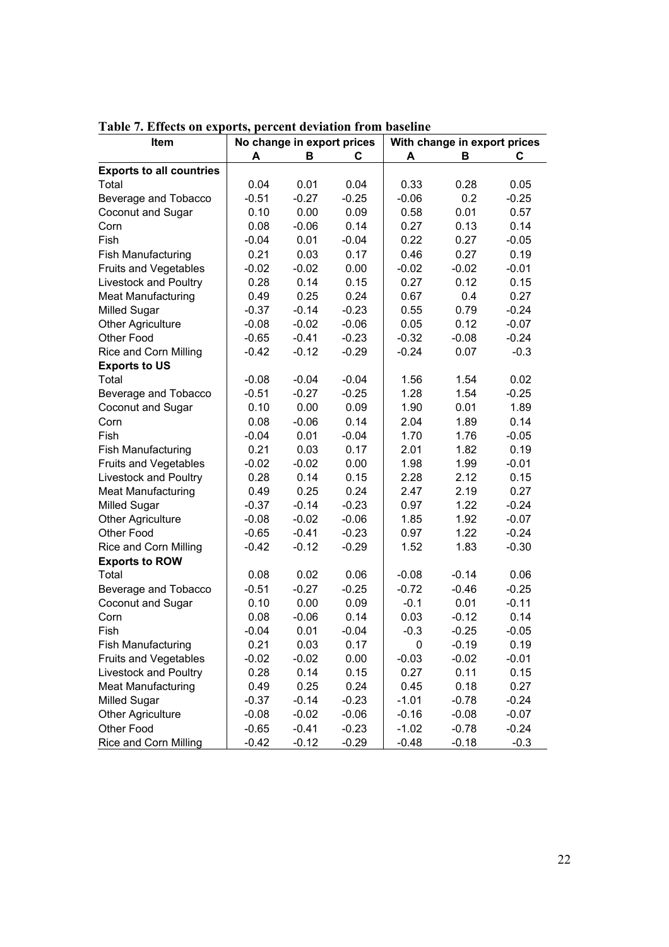| Item                            | No change in export prices |         |         | With change in export prices |         |         |
|---------------------------------|----------------------------|---------|---------|------------------------------|---------|---------|
|                                 | A                          | в       | С       | Α                            | в       | С       |
| <b>Exports to all countries</b> |                            |         |         |                              |         |         |
| Total                           | 0.04                       | 0.01    | 0.04    | 0.33                         | 0.28    | 0.05    |
| Beverage and Tobacco            | $-0.51$                    | $-0.27$ | $-0.25$ | $-0.06$                      | 0.2     | $-0.25$ |
| Coconut and Sugar               | 0.10                       | 0.00    | 0.09    | 0.58                         | 0.01    | 0.57    |
| Corn                            | 0.08                       | $-0.06$ | 0.14    | 0.27                         | 0.13    | 0.14    |
| Fish                            | $-0.04$                    | 0.01    | $-0.04$ | 0.22                         | 0.27    | $-0.05$ |
| <b>Fish Manufacturing</b>       | 0.21                       | 0.03    | 0.17    | 0.46                         | 0.27    | 0.19    |
| Fruits and Vegetables           | $-0.02$                    | $-0.02$ | 0.00    | $-0.02$                      | $-0.02$ | $-0.01$ |
| Livestock and Poultry           | 0.28                       | 0.14    | 0.15    | 0.27                         | 0.12    | 0.15    |
| <b>Meat Manufacturing</b>       | 0.49                       | 0.25    | 0.24    | 0.67                         | 0.4     | 0.27    |
| <b>Milled Sugar</b>             | $-0.37$                    | $-0.14$ | $-0.23$ | 0.55                         | 0.79    | $-0.24$ |
| <b>Other Agriculture</b>        | $-0.08$                    | $-0.02$ | $-0.06$ | 0.05                         | 0.12    | $-0.07$ |
| Other Food                      | $-0.65$                    | $-0.41$ | $-0.23$ | $-0.32$                      | $-0.08$ | $-0.24$ |
| Rice and Corn Milling           | $-0.42$                    | $-0.12$ | $-0.29$ | $-0.24$                      | 0.07    | $-0.3$  |
| <b>Exports to US</b>            |                            |         |         |                              |         |         |
| Total                           | $-0.08$                    | $-0.04$ | $-0.04$ | 1.56                         | 1.54    | 0.02    |
| Beverage and Tobacco            | $-0.51$                    | $-0.27$ | $-0.25$ | 1.28                         | 1.54    | $-0.25$ |
| Coconut and Sugar               | 0.10                       | 0.00    | 0.09    | 1.90                         | 0.01    | 1.89    |
| Corn                            | 0.08                       | $-0.06$ | 0.14    | 2.04                         | 1.89    | 0.14    |
| Fish                            | $-0.04$                    | 0.01    | $-0.04$ | 1.70                         | 1.76    | $-0.05$ |
| <b>Fish Manufacturing</b>       | 0.21                       | 0.03    | 0.17    | 2.01                         | 1.82    | 0.19    |
| Fruits and Vegetables           | $-0.02$                    | $-0.02$ | 0.00    | 1.98                         | 1.99    | $-0.01$ |
| Livestock and Poultry           | 0.28                       | 0.14    | 0.15    | 2.28                         | 2.12    | 0.15    |
| <b>Meat Manufacturing</b>       | 0.49                       | 0.25    | 0.24    | 2.47                         | 2.19    | 0.27    |
| Milled Sugar                    | $-0.37$                    | $-0.14$ | $-0.23$ | 0.97                         | 1.22    | $-0.24$ |
| <b>Other Agriculture</b>        | $-0.08$                    | $-0.02$ | $-0.06$ | 1.85                         | 1.92    | $-0.07$ |
| Other Food                      | $-0.65$                    | $-0.41$ | $-0.23$ | 0.97                         | 1.22    | $-0.24$ |
| Rice and Corn Milling           | $-0.42$                    | $-0.12$ | $-0.29$ | 1.52                         | 1.83    | $-0.30$ |
| <b>Exports to ROW</b>           |                            |         |         |                              |         |         |
| Total                           | 0.08                       | 0.02    | 0.06    | $-0.08$                      | $-0.14$ | 0.06    |
| Beverage and Tobacco            | $-0.51$                    | $-0.27$ | $-0.25$ | $-0.72$                      | $-0.46$ | $-0.25$ |
| Coconut and Sugar               | 0.10                       | 0.00    | 0.09    | $-0.1$                       | 0.01    | $-0.11$ |
| Corn                            | 0.08                       | $-0.06$ | 0.14    | 0.03                         | $-0.12$ | 0.14    |
| Fish                            | $-0.04$                    | 0.01    | $-0.04$ | $-0.3$                       | $-0.25$ | $-0.05$ |
| <b>Fish Manufacturing</b>       | 0.21                       | 0.03    | 0.17    | 0                            | $-0.19$ | 0.19    |
| Fruits and Vegetables           | $-0.02$                    | $-0.02$ | 0.00    | $-0.03$                      | $-0.02$ | $-0.01$ |
| Livestock and Poultry           | 0.28                       | 0.14    | 0.15    | 0.27                         | 0.11    | 0.15    |
| <b>Meat Manufacturing</b>       | 0.49                       | 0.25    | 0.24    | 0.45                         | 0.18    | 0.27    |
| <b>Milled Sugar</b>             | $-0.37$                    | $-0.14$ | $-0.23$ | $-1.01$                      | $-0.78$ | $-0.24$ |
| <b>Other Agriculture</b>        | $-0.08$                    | $-0.02$ | $-0.06$ | $-0.16$                      | $-0.08$ | $-0.07$ |
| Other Food                      | $-0.65$                    | $-0.41$ | $-0.23$ | $-1.02$                      | $-0.78$ | $-0.24$ |
| <b>Rice and Corn Milling</b>    | $-0.42$                    | $-0.12$ | $-0.29$ | $-0.48$                      | $-0.18$ | $-0.3$  |

**Table 7. Effects on exports, percent deviation from baseline**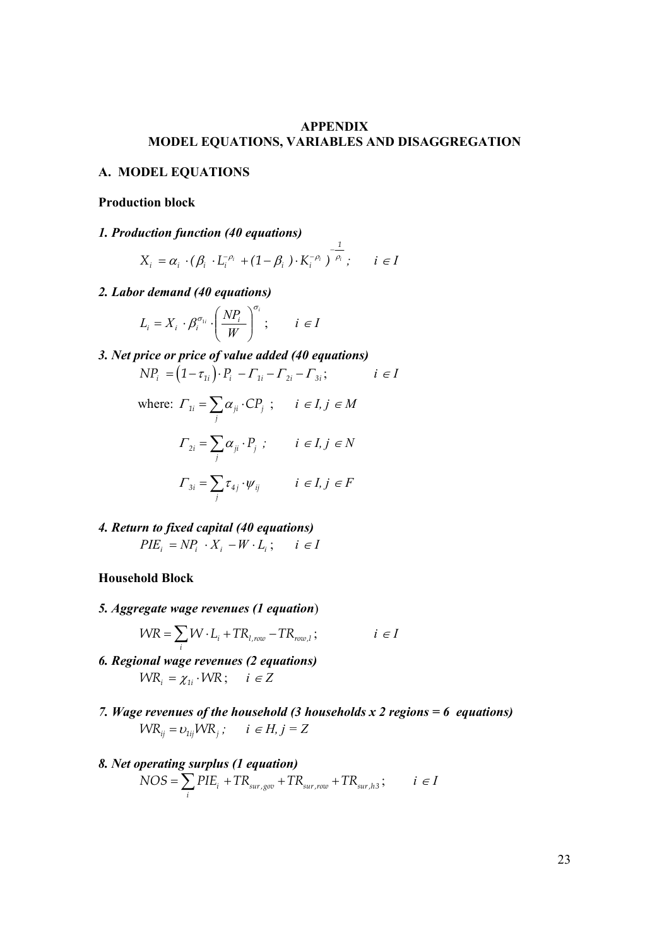#### **APPENDIX MODEL EQUATIONS, VARIABLES AND DISAGGREGATION**

*1*

#### **A. MODEL EQUATIONS**

#### **Production block**

#### *1. Production function (40 equations)*

$$
X_i = \alpha_i \cdot (\beta_i \cdot L_i^{-\rho_i} + (1 - \beta_i) \cdot K_i^{-\rho_i})^{-\frac{1}{\rho_i}}, \quad i \in I
$$

*2. Labor demand (40 equations)* 

$$
L_i = X_i \cdot \beta_i^{\sigma_{1i}} \cdot \left(\frac{NP_i}{W}\right)^{\sigma_i}; \qquad i \in I
$$

*3. Net price or price of value added (40 equations)* 

$$
NP_i = (1 - \tau_{1i}) \cdot P_i - \Gamma_{1i} - \Gamma_{2i} - \Gamma_{3i}; \qquad i \in I
$$

where: 
$$
\Gamma_{1i} = \sum_{j} \alpha_{ji} \cdot CP_j
$$
;  $i \in I, j \in M$   
\n
$$
\Gamma_{2i} = \sum_{j} \alpha_{ji} \cdot P_j
$$
;  $i \in I, j \in N$   
\n
$$
\Gamma_{3i} = \sum_{j} \tau_{4j} \cdot \psi_{ij}
$$
  $i \in I, j \in F$ 

*4. Return to fixed capital (40 equations)*   $PIE_i = NP_i \cdot X_i - W \cdot L_i$ ;  $i \in I$ 

#### **Household Block**

*5. Aggregate wage revenues (1 equation*)

$$
WR = \sum_{i} W \cdot L_i + TR_{l, row} - TR_{row, l}; \qquad i \in I
$$

- *6. Regional wage revenues (2 equations)*   $W$ *R*<sub>*i*</sub> =  $\chi_{1i} \cdot W$ *R*; *i*  $\in Z$
- *7. Wage revenues of the household (3 households x 2 regions = 6 equations)*   $W\mathbb{R}_{ii} = v_{1ii}W\mathbb{R}_{i}$ ;  $i \in H, j = Z$

#### *8. Net operating surplus (1 equation)*   $i$ <sup>I</sup>  $\Gamma$ <sub>Sur,gov</sub>  $\Gamma$ <sup>I</sup>  $\Gamma$ <sub>Sur,row</sub>  $\Gamma$ <sup>I</sup> $\Gamma$ <sub>Sur,h3</sub>  $NOS = \sum_{i} PIE_{i} + TR_{sur,.gov} + TR_{sur,row} + TR_{sur, h3}$ ;  $i \in I$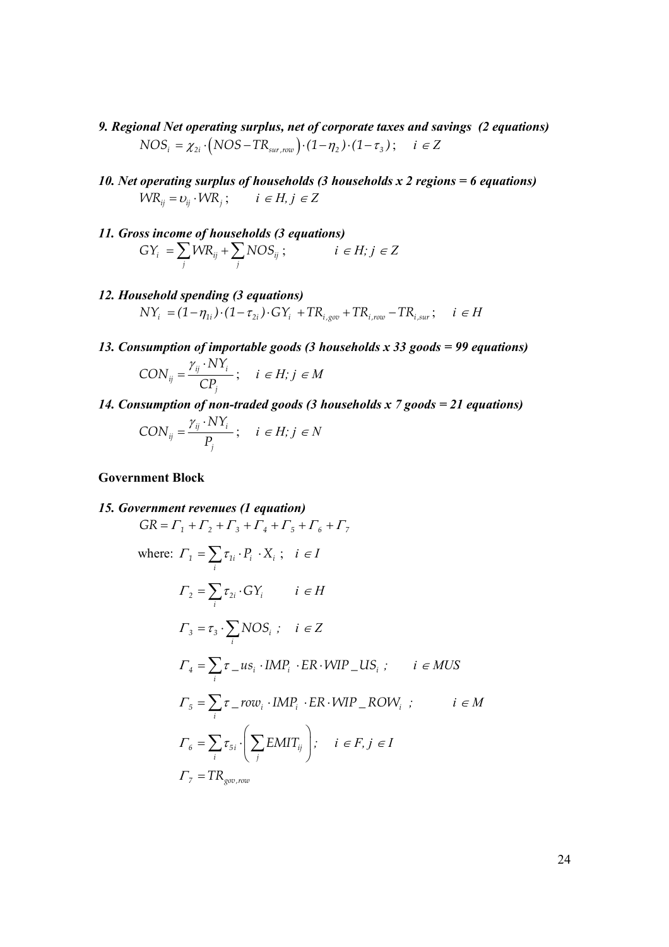- *9. Regional Net operating surplus, net of corporate taxes and savings (2 equations)*   $NOS_i = \chi_{2i} \cdot (NOS - TR_{sur,row}) \cdot (1 - \eta_2) \cdot (1 - \tau_3) ; \quad i \in \mathbb{Z}$
- *10. Net operating surplus of households (3 households x 2 regions = 6 equations)*   $W R_{ii} = v_{ii} \cdot W R_i$ ;  $i \in H, j \in Z$
- *11. Gross income of households (3 equations)*   $i = \sum$   $\sum_i$   $\sum_i$   $\sum_i$   $\sum_i$   $\sum_i$  $GY_i = \sum_j WR_{ij} + \sum_j NOS_{ij}$ ;  $i \in H; j \in Z$
- *12. Household spending (3 equations)*   $NY_i = (1 - \eta_{1i}) \cdot (1 - \tau_{2i}) \cdot GY_i + TR_{i, \text{cov}} + TR_{i, \text{row}} - TR_{i, \text{sur}}; \quad i \in H$
- *13. Consumption of importable goods (3 households x 33 goods = 99 equations)*

$$
CON_{ij} = \frac{\gamma_{ij} \cdot NY_i}{CP_j}; \quad i \in H; j \in M
$$

*14. Consumption of non-traded goods (3 households x 7 goods = 21 equations)* 

$$
CON_{ij} = \frac{\gamma_{ij} \cdot NY_i}{P_j}; \quad i \in H; j \in N
$$

#### **Government Block**

15. Government revenues (1 equation)  
\n
$$
GR = \Gamma_1 + \Gamma_2 + \Gamma_3 + \Gamma_4 + \Gamma_5 + \Gamma_6 + \Gamma_7
$$
\nwhere:  $\Gamma_1 = \sum_i \tau_{1i} \cdot P_i \cdot X_i$ ;  $i \in I$   
\n
$$
\Gamma_2 = \sum_i \tau_{2i} \cdot GY_i \qquad i \in H
$$
\n
$$
\Gamma_3 = \tau_3 \cdot \sum_i NOS_i
$$
;  $i \in Z$   
\n
$$
\Gamma_4 = \sum_i \tau_{i} uS_i \cdot IMP_i \cdot ER \cdot WIP \_lUS_i
$$
;  $i \in MUS$   
\n
$$
\Gamma_5 = \sum_i \tau_{i} f \cdot IMP_i \cdot ER \cdot WIP \_ROW_i
$$
;  $i \in M$   
\n
$$
\Gamma_6 = \sum_i \tau_{5i} \cdot \left(\sum_i EMIT_{ij}\right); \quad i \in F, j \in I
$$
  
\n
$$
\Gamma_7 = TR_{gov, row}
$$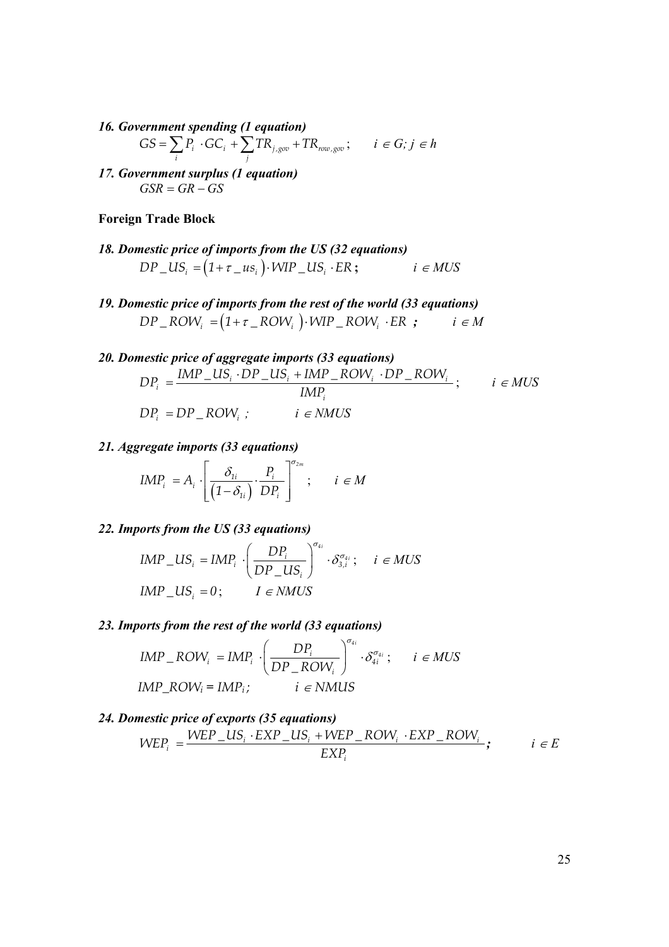*16. Government spending (1 equation)* 

$$
GS = \sum_{i} P_i \cdot GC_i + \sum_{j} TR_{j, gov} + TR_{row, gov}; \qquad i \in G; j \in h
$$

*17. Government surplus (1 equation)*   $GSR = GR - GS$ 

#### **Foreign Trade Block**

- *18. Domestic price of imports from the US (32 equations)*   $DP\_US_i = (1 + \tau \_us_i) \cdot WIP\_US_i \cdot ER;$   $i \in MUS$
- *19. Domestic price of imports from the rest of the world (33 equations)*   $DP\_ROW_i = (1 + \tau\_ROW_i) \cdot WIP\_ROW_i \cdot ER ;$   $i \in M$
- *20. Domestic price of aggregate imports (33 equations)*   $\frac{d}{i} = \frac{mv_1 - \omega_{i}v_1 - \omega_{i}mv_1 - \kappa_{i}v_1v_1 - \kappa_{i}v_1v_1}{hAD}$ *i*  $DP_i = \frac{IMP\_US_i \cdot DP\_US_i + IMP\_ROW_i \cdot DP\_ROW_i}{IDP_i}$ *IMP*  $=\frac{IMP\_US_i \cdot DP\_US_i + IMP\_ROW_i \cdot DP\_ROW_i}{WID\_ROW_i} ; i \in MUS$  $DP_i = DP \_$ *ROW<sub>i</sub>*;  $i \in NMUS$

#### *21. Aggregate imports (33 equations)*

$$
IMP_i = A_i \cdot \left[ \frac{\delta_{1i}}{(1 - \delta_{1i})} \cdot \frac{P_i}{DP_i} \right]^{\sigma_{2m}}; \quad i \in M
$$

#### *22. Imports from the US (33 equations)*

$$
IMP\_US_i = IMP_i \cdot \left(\frac{DP_i}{DP\_US_i}\right)^{\sigma_{ii}} \cdot \delta_{3,i}^{\sigma_{4i}}; \quad i \in MUS
$$
  

$$
IMP\_US_i = 0; \quad I \in NMUS
$$

#### *23. Imports from the rest of the world (33 equations)*

$$
IMP\_ROW_i = IMP_i \cdot \left(\frac{DP_i}{DP\_ROW_i}\right)^{\sigma_{4i}} \cdot \delta_{4i}^{\sigma_{4i}}; \quad i \in MUS
$$
  

$$
IMP\_ROW_i = IMP_i; \quad i \in NMUS
$$

#### *24. Domestic price of exports (35 equations)*   $\frac{\partial}{\partial i} = \frac{\text{VULI} - \alpha v_i}{\text{FVD}}$ *i*  $WEP_i = \frac{WEP \_US_i \cdot EXP \_US_i + WEP \_ROW_i \cdot EXP \_ROW_i}$ *EXP*  $=\frac{WEP\_{US_i} \cdot EXP\_{US_i} + WEP\_{ROW_i} \cdot EXP\_{ROW_i}}{WIP}$ ;  $i \in E$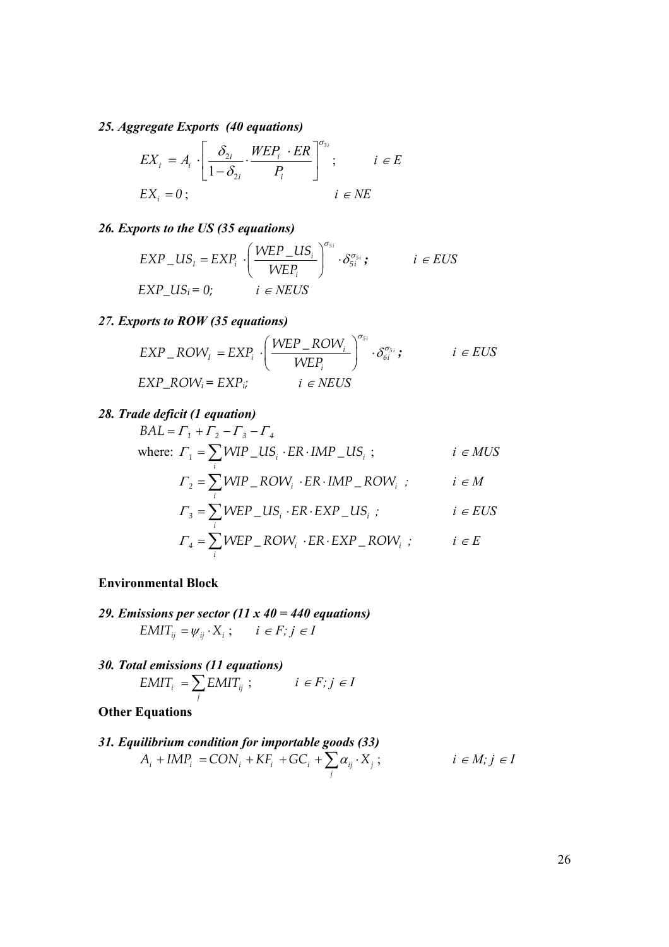#### *25. Aggregate Exports (40 equations)*

$$
EX_{i} = A_{i} \cdot \left[ \frac{\delta_{2i}}{1 - \delta_{2i}} \cdot \frac{WEP_{i} \cdot ER}{P_{i}} \right]^{\sigma_{3i}}; \qquad i \in E
$$
  

$$
EX_{i} = 0; \qquad i \in NE
$$

#### *26. Exports to the US (35 equations)*

$$
EXP\_US_i = EXP_i \cdot \left(\frac{WEP\_US_i}{WEP_i}\right)^{\sigma_{5i}} \cdot \delta_{5i}^{\sigma_{5i}}; \qquad i \in EUS
$$
  
EXP\_US<sub>i</sub> = 0; \qquad i \in NEUS

#### *27. Exports to ROW (35 equations)*

$$
EXP\_ROW_{i} = EXP_{i} \cdot \left(\frac{WEP\_ROW_{i}}{WEP_{i}}\right)^{\sigma_{si}} \cdot \delta_{6i}^{\sigma_{si}}; \qquad i \in EUS
$$
  
EXP\\_ROW\_{i} = EXP\_{i}; \qquad i \in NEUS

#### *28. Trade deficit (1 equation)*

$$
BAL = \Gamma_1 + \Gamma_2 - \Gamma_3 - \Gamma_4
$$
\nwhere:  $\Gamma_1 = \sum_i WIP \_US_i \cdot ER \cdot IMP \_US_i ;$   $i \in MUS$   
\n $\Gamma_2 = \sum_i WIP \_ROW_i \cdot ER \cdot IMP \_ROW_i ;$   $i \in M$   
\n $\Gamma_3 = \sum_i WEP \_ US_i \cdot ER \cdot EXP \_ US_i ;$   $i \in EUS$   
\n $\Gamma_4 = \sum_i WEP \_ ROW_i \cdot ER \cdot EXP \_ ROW_i ;$   $i \in E$ 

#### **Environmental Block**

- *29. Emissions per sector (11 x 40 = 440 equations)*   $EMIT_{ij} = \psi_{ij} \cdot X_i ; \quad i \in F; j \in I$
- *30. Total emissions (11 equations)*   $i = \sum$ <sup>LIVIII</sup><sup>ij</sup>  $EMIT_i = \sum_j EMIT_{ij}$ ;  $i \in F; j \in I$

#### **Other Equations**

*31. Equilibrium condition for importable goods (33)*   $i$  i  $\mu$ vii  $i$   $\sim$   $\sigma$ <sub>i</sub>  $\sigma$ <sub>i</sub>  $\sigma$ <sub>i</sub>  $\sigma$ <sub>i</sub>  $\sigma$ <sub>i</sub>  $\sigma$ <sub>i</sub>  $\sigma$ <sub>i</sub>  $A_i + IMP_i = CON_i + KF_i + GC_i + \sum_j \alpha_{ij} \cdot X_j;$   $i \in M; j \in I$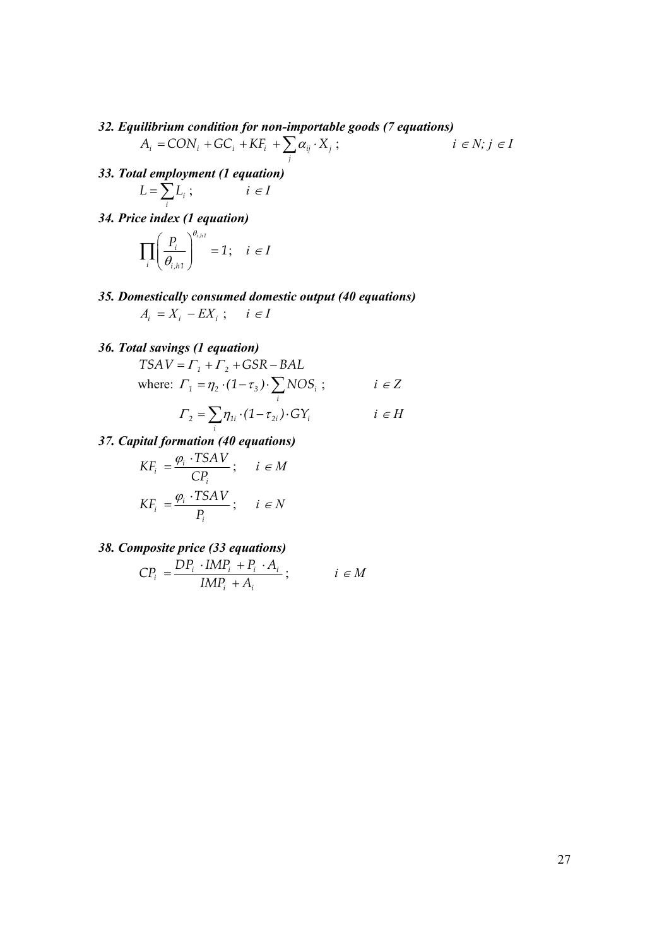*32. Equilibrium condition for non-importable goods (7 equations)* 

$$
A_i = CON_i + GC_i + KF_i + \sum_j \alpha_{ij} \cdot X_j ; \qquad i \in N; j \in I
$$

- *33. Total employment (1 equation) i*  $L = \sum_i L_i$ ; *i* ∈ *I*
- *34. Price index (1 equation)*

$$
\prod_{i}\left(\frac{P_{i}}{\theta_{i,h1}}\right)^{\theta_{i,h1}} = 1; \quad i \in I
$$

*35. Domestically consumed domestic output (40 equations)*   $A_i = X_i - EX_i$ ; *i* ∈ *I* 

#### *36. Total savings (1 equation)*

 $TSAV = \Gamma_1 + \Gamma_2 + GSR - BAL$ where:  $\Gamma_1 = \eta_2 \cdot (1 - \tau_3) \cdot \sum NOS_i$  $\sum_i \eta_2 \cdot (1 - \tau_3) \cdot \sum_i NOS_i$ ; *i* ∈ *Z* 

$$
\Gamma_2 = \sum_i \eta_{1i} \cdot (1 - \tau_{2i}) \cdot GY_i \qquad i \in H
$$

*37. Capital formation (40 equations)* 

$$
KF_i = \frac{\varphi_i \cdot TSAV}{CP_i}; \quad i \in M
$$
  

$$
KF_i = \frac{\varphi_i \cdot TSAV}{P_i}; \quad i \in N
$$

*38. Composite price (33 equations)* 

$$
CP_i = \frac{DP_i \cdot IMP_i + P_i \cdot A_i}{IMP_i + A_i}; \qquad i \in M
$$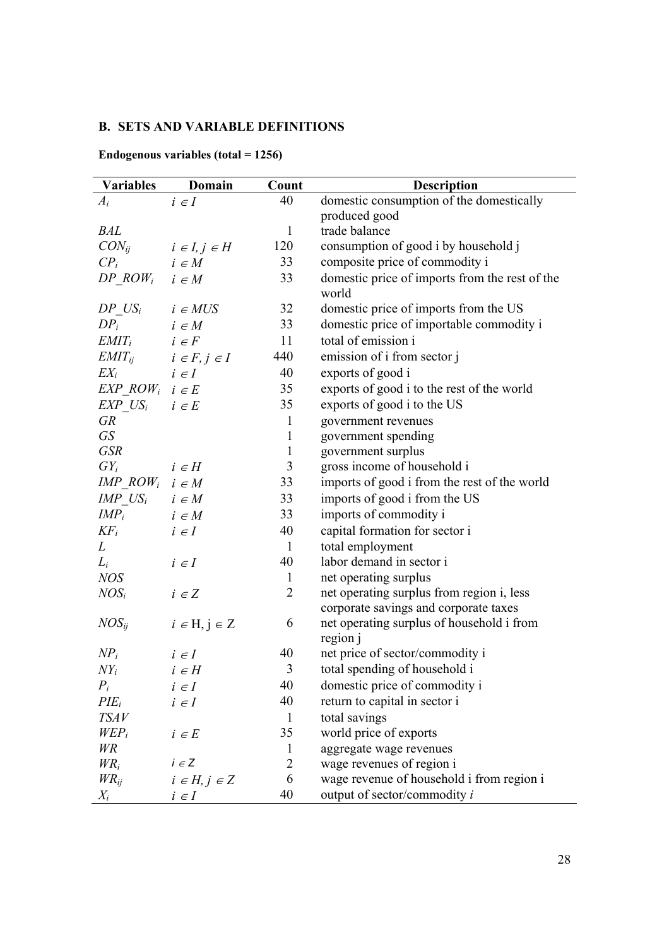### **B. SETS AND VARIABLE DEFINITIONS**

| <b>Variables</b>               | Domain                         | Count          | <b>Description</b>                                      |
|--------------------------------|--------------------------------|----------------|---------------------------------------------------------|
| $A_i$                          | $i \in I$                      | 40             | domestic consumption of the domestically                |
|                                |                                |                | produced good                                           |
| <b>BAL</b>                     |                                | $\mathbf{1}$   | trade balance                                           |
| $CON_{ij}$                     | $i \in I, j \in H$             | 120            | consumption of good i by household j                    |
| $CP_i$                         | $i \in M$                      | 33             | composite price of commodity i                          |
| DP $ROW_i$ $i \in M$           |                                | 33             | domestic price of imports from the rest of the<br>world |
| DP $US_i$ $i \in MUS$          |                                | 32             | domestic price of imports from the US                   |
| $DP_i$                         | $i \in M$                      | 33             | domestic price of importable commodity i                |
| $EMIT_i$ $i \in F$             |                                | 11             | total of emission i                                     |
|                                | $EMIT_{ij}$ $i \in F, j \in I$ | 440            | emission of i from sector j                             |
| $EX_i$                         | $i \in I$                      | 40             | exports of good i                                       |
| EXP ROW <sub>i</sub> $i \in E$ |                                | 35             | exports of good i to the rest of the world              |
| $EXP$ $US_i$ $i \in E$         |                                | 35             | exports of good i to the US                             |
| <b>GR</b>                      |                                | $\mathbf{1}$   | government revenues                                     |
| GS                             |                                | $\mathbf{1}$   | government spending                                     |
| <b>GSR</b>                     |                                | $\mathbf{1}$   | government surplus                                      |
| $GY_i$                         | $i \in H$                      | 3              | gross income of household i                             |
| IMP $ROW_i$ $i \in M$          |                                | 33             | imports of good i from the rest of the world            |
| IMP $US_i$ $i \in M$           |                                | 33             | imports of good i from the US                           |
| $IMP_i$                        | $i \in M$                      | 33             | imports of commodity i                                  |
| $KF_i$                         | $i \in I$                      | 40             | capital formation for sector i                          |
| L                              |                                | $\mathbf{1}$   | total employment                                        |
| $L_i$                          | $i \in I$                      | 40             | labor demand in sector i                                |
| <b>NOS</b>                     |                                | $\mathbf{1}$   | net operating surplus                                   |
| $NOS_i$                        | $i \in Z$                      | $\overline{c}$ | net operating surplus from region i, less               |
|                                |                                |                | corporate savings and corporate taxes                   |
| $NOS_{ij}$                     | $i \in H, j \in Z$             | 6              | net operating surplus of household i from               |
|                                |                                |                | region j                                                |
| $NP_i$                         | $i \in I$                      | 40             | net price of sector/commodity i                         |
| $NY_i$                         | $i \in H$                      | 3              | total spending of household i                           |
| $P_i$                          | $i \in I$                      | 40             | domestic price of commodity i                           |
| $PIE_i$                        | $i \in I$                      | 40             | return to capital in sector i                           |
| <i>TSAV</i>                    |                                | $\mathbf{1}$   | total savings                                           |
| $WEP_i$                        | $i \in E$                      | 35             | world price of exports                                  |
| <b>WR</b>                      |                                | $\mathbf{1}$   | aggregate wage revenues                                 |
| $WR_i$                         | $i \in Z$                      | 2              | wage revenues of region i                               |
| $WR_{ij}$                      | $i \in H, j \in Z$             | 6              | wage revenue of household i from region i               |
| $X_i$                          | $i \in I$                      | 40             | output of sector/commodity $i$                          |

**Endogenous variables (total = 1256)**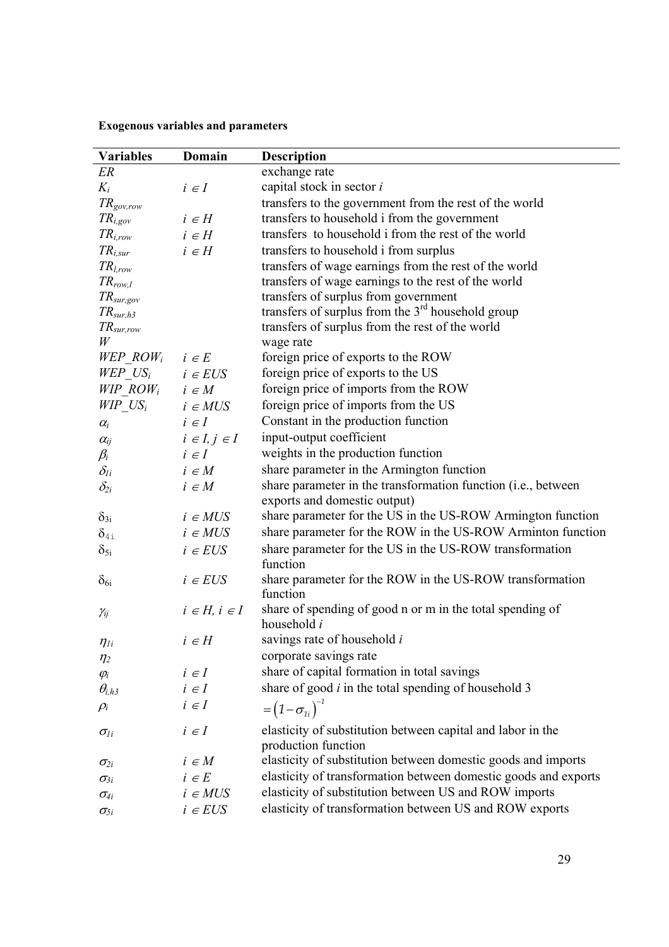**Exogenous variables and parameters** 

| <b>Variables</b>                   | Domain                | <b>Description</b>                                                                            |
|------------------------------------|-----------------------|-----------------------------------------------------------------------------------------------|
| ER                                 |                       | exchange rate                                                                                 |
| $K_i$                              | $i \in I$             | capital stock in sector i                                                                     |
| $TR_{gov,row}$                     |                       | transfers to the government from the rest of the world                                        |
| $TR_{i,.gov}$                      | $i \in H$             | transfers to household i from the government                                                  |
| $TR_{i,row}$                       | $i \in H$             | transfers to household i from the rest of the world                                           |
| $TR_{i,sur}$                       | $i \in H$             | transfers to household i from surplus                                                         |
| $TR_{l,row}$                       |                       | transfers of wage earnings from the rest of the world                                         |
| $TR_{row,l}$                       |                       | transfers of wage earnings to the rest of the world                                           |
| $TR_{sur,gov}$                     |                       | transfers of surplus from government                                                          |
| $TR_{sur,h3}$                      |                       | transfers of surplus from the 3 <sup>rd</sup> household group                                 |
| $TR_{sur,row}$                     |                       | transfers of surplus from the rest of the world                                               |
| W                                  |                       | wage rate                                                                                     |
| WEP ROW <sub>i</sub>               | $i \in E$             | foreign price of exports to the ROW                                                           |
| WEP $US_i$                         | $i \in EUS$           | foreign price of exports to the US                                                            |
| WIP $ROW_i$                        | $i \in M$             | foreign price of imports from the ROW                                                         |
| $WIP$ <sub>_</sub> US <sub>i</sub> | $i \in MUS$           | foreign price of imports from the US                                                          |
| $\alpha_i$                         | $i \in I$             | Constant in the production function                                                           |
| $\alpha_{ij}$                      | $i \in I, j \in I$    | input-output coefficient                                                                      |
| $\beta_i$                          | $i \in I$             | weights in the production function                                                            |
| $\delta_{li}$                      | $i \in M$             | share parameter in the Armington function                                                     |
| $\delta_{2i}$                      | $i \in M$             | share parameter in the transformation function (i.e., between<br>exports and domestic output) |
| $\delta_{3i}$                      | $i \in MUS$           | share parameter for the US in the US-ROW Armington function                                   |
| $\delta_{4i}$                      | $i \in MUS$           | share parameter for the ROW in the US-ROW Arminton function                                   |
|                                    | $i \in EUS$           | share parameter for the US in the US-ROW transformation                                       |
| $\delta_{5i}$                      |                       | function                                                                                      |
| $\delta_{6i}$                      | $i \in EUS$           | share parameter for the ROW in the US-ROW transformation<br>function                          |
| $\gamma_{ij}$                      | $i \in H$ , $i \in I$ | share of spending of good n or m in the total spending of<br>household i                      |
| $\eta_{li}$                        | $i \in H$             | savings rate of household i                                                                   |
| $\eta_2$                           |                       | corporate savings rate                                                                        |
| $\varphi_i$                        | $i \in I$             | share of capital formation in total savings                                                   |
| $\theta_{i,h3}$                    | $i \in I$             | share of good $i$ in the total spending of household 3                                        |
| $\rho_i$                           | $i \in I$             | $=\left(1-\sigma_{1i}\right)^{-1}$                                                            |
| $\sigma_{li}$                      | $i \in I$             | elasticity of substitution between capital and labor in the<br>production function            |
| $\sigma_{2i}$                      | $i \in M$             | elasticity of substitution between domestic goods and imports                                 |
| $\sigma_{3i}$                      | $i\;\in E$            | elasticity of transformation between domestic goods and exports                               |
| $\sigma_{4i}$                      | $i \in MUS$           | elasticity of substitution between US and ROW imports                                         |
| $\sigma_{5i}$                      | $i \in EUS$           | elasticity of transformation between US and ROW exports                                       |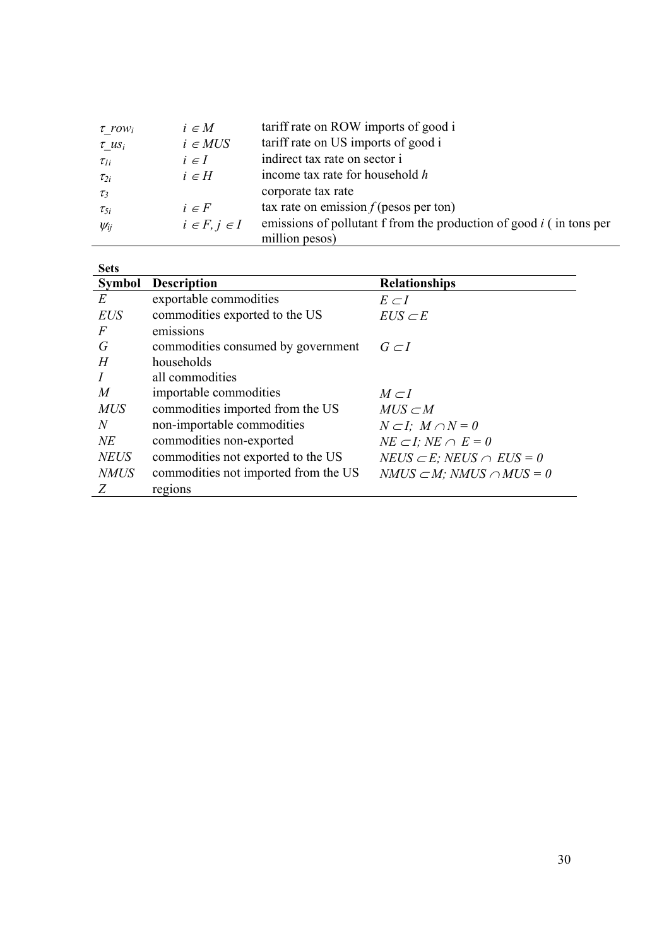| $\tau$ row <sub>i</sub> | $i \in M$          | tariff rate on ROW imports of good i                                                    |
|-------------------------|--------------------|-----------------------------------------------------------------------------------------|
| $\tau$ us <sub>i</sub>  | $i \in MUS$        | tariff rate on US imports of good i                                                     |
| $\tau_{li}$             | $i \in I$          | indirect tax rate on sector i                                                           |
| $\tau_{2i}$             | $i \in H$          | income tax rate for household h                                                         |
| $\tau_3$                |                    | corporate tax rate                                                                      |
| $\tau_{5i}$             | $i \in F$          | tax rate on emission $f$ (pesos per ton)                                                |
| $\psi_{ij}$             | $i \in F, j \in I$ | emissions of pollutant f from the production of good $i$ (in tons per<br>million pesos) |

| <b>Sets</b>    |                                      |                                        |
|----------------|--------------------------------------|----------------------------------------|
| <b>Symbol</b>  | <b>Description</b>                   | <b>Relationships</b>                   |
| E              | exportable commodities               | $E\subset I$                           |
| <b>EUS</b>     | commodities exported to the US       | $EUS \subset E$                        |
| $\overline{F}$ | emissions                            |                                        |
| G              | commodities consumed by government   | $G \subset I$                          |
| H              | households                           |                                        |
|                | all commodities                      |                                        |
| M              | importable commodities               | $M \subset I$                          |
| <b>MUS</b>     | commodities imported from the US     | $MUS \subset M$                        |
| N              | non-importable commodities           | $N\subset I$ ; $M\cap N=0$             |
| NE             | commodities non-exported             | $NE \subset I$ ; $NE \cap E = 0$       |
| <b>NEUS</b>    | commodities not exported to the US   | $NEUS \subset E$ ; NEUS $\cap EUS = 0$ |
| <i>NMUS</i>    | commodities not imported from the US | $NMUS \subset M$ ; NMUS $\cap MUS = 0$ |
| Z              | regions                              |                                        |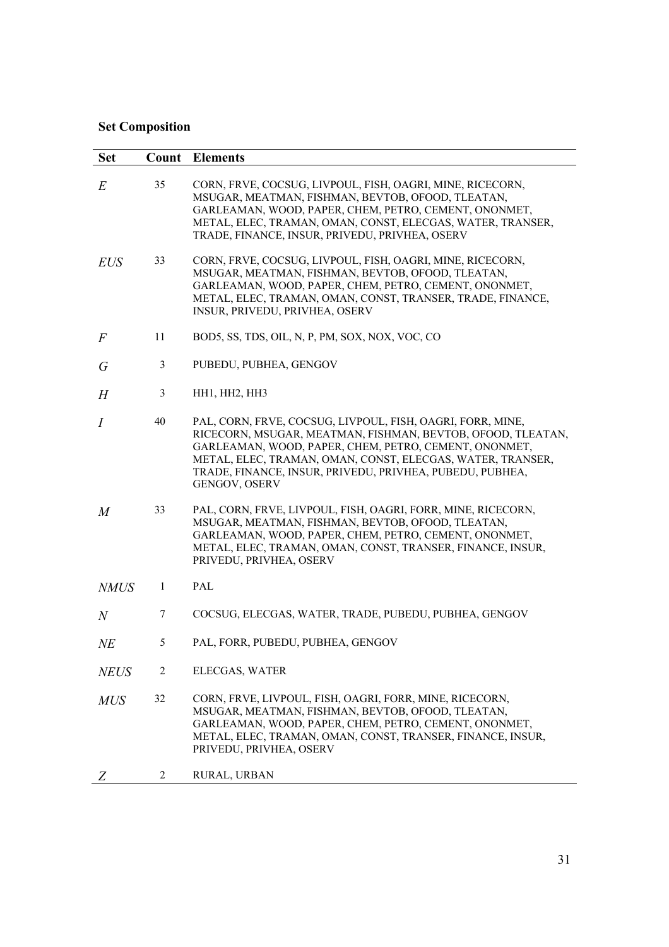### **Set Composition**

| <b>Set</b>       | Count          | <b>Elements</b>                                                                                                                                                                                                                                                                                                               |
|------------------|----------------|-------------------------------------------------------------------------------------------------------------------------------------------------------------------------------------------------------------------------------------------------------------------------------------------------------------------------------|
| E                | 35             | CORN, FRVE, COCSUG, LIVPOUL, FISH, OAGRI, MINE, RICECORN,<br>MSUGAR, MEATMAN, FISHMAN, BEVTOB, OFOOD, TLEATAN,<br>GARLEAMAN, WOOD, PAPER, CHEM, PETRO, CEMENT, ONONMET,<br>METAL, ELEC, TRAMAN, OMAN, CONST, ELECGAS, WATER, TRANSER,<br>TRADE, FINANCE, INSUR, PRIVEDU, PRIVHEA, OSERV                                       |
| <b>EUS</b>       | 33             | CORN, FRVE, COCSUG, LIVPOUL, FISH, OAGRI, MINE, RICECORN,<br>MSUGAR, MEATMAN, FISHMAN, BEVTOB, OFOOD, TLEATAN,<br>GARLEAMAN, WOOD, PAPER, CHEM, PETRO, CEMENT, ONONMET,<br>METAL, ELEC, TRAMAN, OMAN, CONST, TRANSER, TRADE, FINANCE,<br>INSUR, PRIVEDU, PRIVHEA, OSERV                                                       |
| $\overline{F}$   | 11             | BOD5, SS, TDS, OIL, N, P, PM, SOX, NOX, VOC, CO                                                                                                                                                                                                                                                                               |
| G                | 3              | PUBEDU, PUBHEA, GENGOV                                                                                                                                                                                                                                                                                                        |
| H                | 3              | HH1, HH2, HH3                                                                                                                                                                                                                                                                                                                 |
| $\overline{I}$   | 40             | PAL, CORN, FRVE, COCSUG, LIVPOUL, FISH, OAGRI, FORR, MINE,<br>RICECORN, MSUGAR, MEATMAN, FISHMAN, BEVTOB, OFOOD, TLEATAN,<br>GARLEAMAN, WOOD, PAPER, CHEM, PETRO, CEMENT, ONONMET,<br>METAL, ELEC, TRAMAN, OMAN, CONST, ELECGAS, WATER, TRANSER,<br>TRADE, FINANCE, INSUR, PRIVEDU, PRIVHEA, PUBEDU, PUBHEA,<br>GENGOV, OSERV |
| $\boldsymbol{M}$ | 33             | PAL, CORN, FRVE, LIVPOUL, FISH, OAGRI, FORR, MINE, RICECORN,<br>MSUGAR, MEATMAN, FISHMAN, BEVTOB, OFOOD, TLEATAN,<br>GARLEAMAN, WOOD, PAPER, CHEM, PETRO, CEMENT, ONONMET,<br>METAL, ELEC, TRAMAN, OMAN, CONST, TRANSER, FINANCE, INSUR,<br>PRIVEDU, PRIVHEA, OSERV                                                           |
| <b>NMUS</b>      | 1              | PAL                                                                                                                                                                                                                                                                                                                           |
| $\mathcal N$     | $\tau$         | COCSUG, ELECGAS, WATER, TRADE, PUBEDU, PUBHEA, GENGOV                                                                                                                                                                                                                                                                         |
| NE               | 5              | PAL, FORR, PUBEDU, PUBHEA, GENGOV                                                                                                                                                                                                                                                                                             |
| <b>NEUS</b>      | $\overline{c}$ | ELECGAS, WATER                                                                                                                                                                                                                                                                                                                |
| <b>MUS</b>       | 32             | CORN, FRVE, LIVPOUL, FISH, OAGRI, FORR, MINE, RICECORN,<br>MSUGAR, MEATMAN, FISHMAN, BEVTOB, OFOOD, TLEATAN,<br>GARLEAMAN, WOOD, PAPER, CHEM, PETRO, CEMENT, ONONMET,<br>METAL, ELEC, TRAMAN, OMAN, CONST, TRANSER, FINANCE, INSUR,<br>PRIVEDU, PRIVHEA, OSERV                                                                |
| Z                | 2              | RURAL, URBAN                                                                                                                                                                                                                                                                                                                  |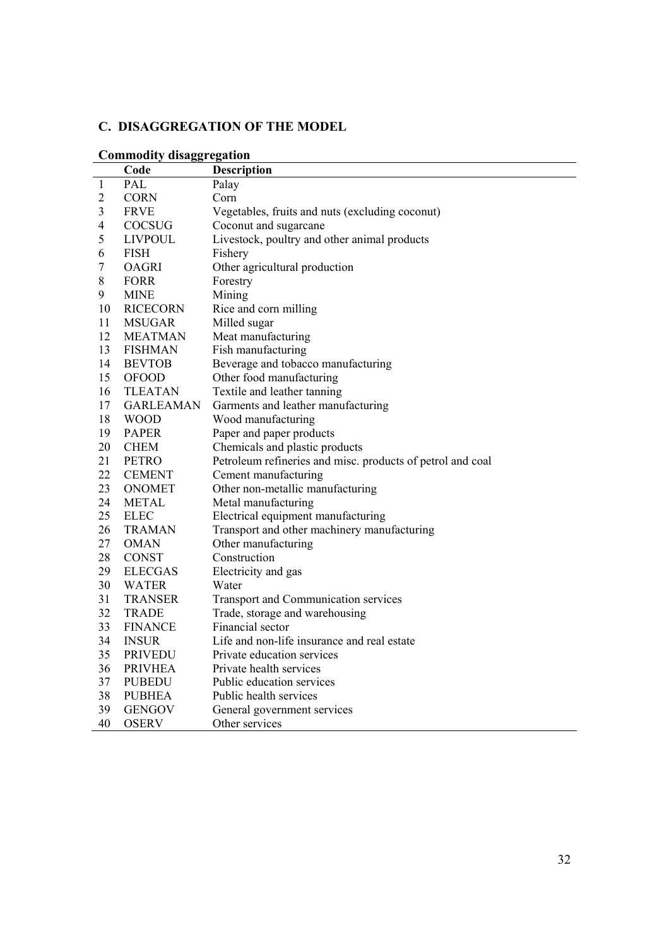### **C. DISAGGREGATION OF THE MODEL**

|                | Code             | <b>Description</b>                                         |
|----------------|------------------|------------------------------------------------------------|
| $\mathbf{1}$   | PAL              | Palay                                                      |
| $\overline{c}$ | <b>CORN</b>      | Corn                                                       |
| 3              | <b>FRVE</b>      | Vegetables, fruits and nuts (excluding coconut)            |
| $\overline{4}$ | COCSUG           | Coconut and sugarcane                                      |
| 5              | <b>LIVPOUL</b>   | Livestock, poultry and other animal products               |
| 6              | <b>FISH</b>      | Fishery                                                    |
| 7              | <b>OAGRI</b>     | Other agricultural production                              |
| 8              | <b>FORR</b>      | Forestry                                                   |
| 9              | <b>MINE</b>      | Mining                                                     |
| 10             | <b>RICECORN</b>  | Rice and corn milling                                      |
| 11             | <b>MSUGAR</b>    | Milled sugar                                               |
| 12             | <b>MEATMAN</b>   | Meat manufacturing                                         |
| 13             | <b>FISHMAN</b>   | Fish manufacturing                                         |
| 14             | <b>BEVTOB</b>    | Beverage and tobacco manufacturing                         |
| 15             | <b>OFOOD</b>     | Other food manufacturing                                   |
| 16             | <b>TLEATAN</b>   | Textile and leather tanning                                |
| 17             | <b>GARLEAMAN</b> | Garments and leather manufacturing                         |
| 18             | <b>WOOD</b>      | Wood manufacturing                                         |
| 19             | <b>PAPER</b>     | Paper and paper products                                   |
| 20             | <b>CHEM</b>      | Chemicals and plastic products                             |
| 21             | <b>PETRO</b>     | Petroleum refineries and misc. products of petrol and coal |
| 22             | <b>CEMENT</b>    | Cement manufacturing                                       |
| 23             | <b>ONOMET</b>    | Other non-metallic manufacturing                           |
| 24             | <b>METAL</b>     | Metal manufacturing                                        |
| 25             | <b>ELEC</b>      | Electrical equipment manufacturing                         |
| 26             | <b>TRAMAN</b>    | Transport and other machinery manufacturing                |
| 27             | <b>OMAN</b>      | Other manufacturing                                        |
| 28             | <b>CONST</b>     | Construction                                               |
| 29             | <b>ELECGAS</b>   | Electricity and gas                                        |
| 30             | <b>WATER</b>     | Water                                                      |
| 31             | <b>TRANSER</b>   | Transport and Communication services                       |
| 32             | <b>TRADE</b>     | Trade, storage and warehousing                             |
| 33             | <b>FINANCE</b>   | Financial sector                                           |
| 34             | <b>INSUR</b>     | Life and non-life insurance and real estate                |
| 35             | <b>PRIVEDU</b>   | Private education services                                 |
| 36             | <b>PRIVHEA</b>   | Private health services                                    |
| 37             | <b>PUBEDU</b>    | Public education services                                  |
| 38             | <b>PUBHEA</b>    | Public health services                                     |
| 39             | <b>GENGOV</b>    | General government services                                |
| 40             | <b>OSERV</b>     | Other services                                             |

#### **Commodity disaggregation**